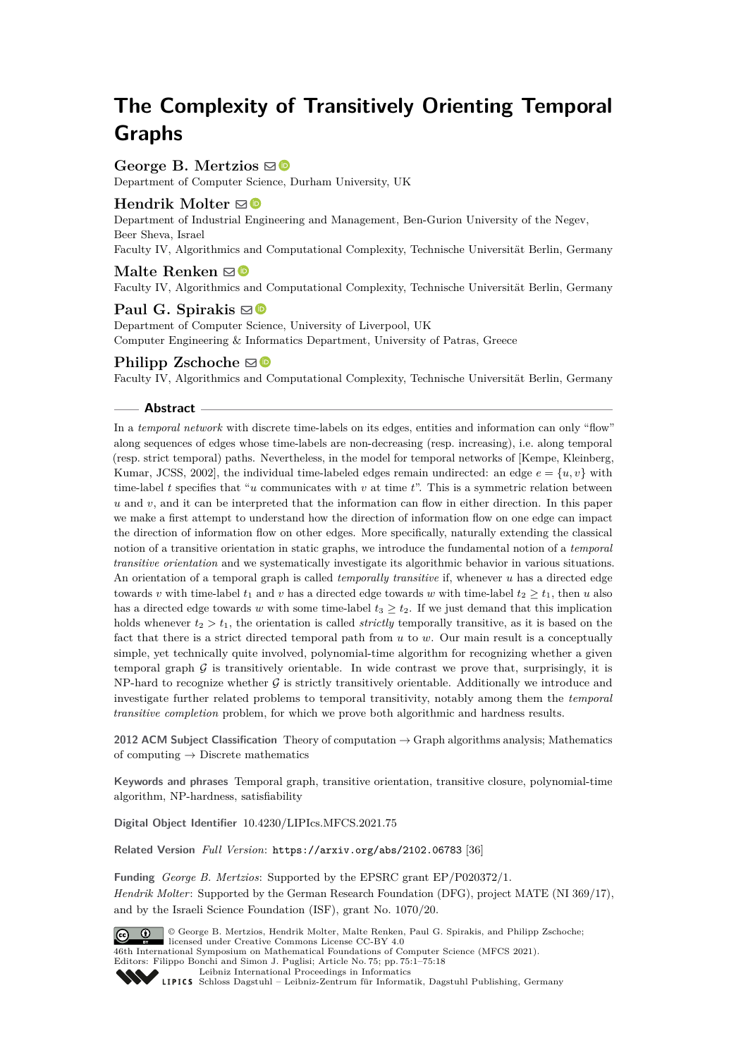# **The Complexity of Transitively Orienting Temporal Graphs**

# **George B. Mertzios** ⊠<sup>■</sup>

Department of Computer Science, Durham University, UK

## **Hendrik Molter**  $\boxtimes$

Department of Industrial Engineering and Management, Ben-Gurion University of the Negev, Beer Sheva, Israel

Faculty IV, Algorithmics and Computational Complexity, Technische Universität Berlin, Germany

## **Malte Renken**  $\mathbf{\boxdot}$  **■**

Faculty IV, Algorithmics and Computational Complexity, Technische Universität Berlin, Germany

## **Paul G. Spirakis**  $\boxtimes$

Department of Computer Science, University of Liverpool, UK Computer Engineering & Informatics Department, University of Patras, Greece

## **Philipp Zschoche**  $\boxtimes$

Faculty IV, Algorithmics and Computational Complexity, Technische Universität Berlin, Germany

#### **Abstract**

In a *temporal network* with discrete time-labels on its edges, entities and information can only "flow" along sequences of edges whose time-labels are non-decreasing (resp. increasing), i.e. along temporal (resp. strict temporal) paths. Nevertheless, in the model for temporal networks of [Kempe, Kleinberg, Kumar, JCSS, 2002], the individual time-labeled edges remain undirected: an edge  $e = \{u, v\}$  with time-label *t* specifies that "*u* communicates with *v* at time *t*". This is a symmetric relation between *u* and *v*, and it can be interpreted that the information can flow in either direction. In this paper we make a first attempt to understand how the direction of information flow on one edge can impact the direction of information flow on other edges. More specifically, naturally extending the classical notion of a transitive orientation in static graphs, we introduce the fundamental notion of a *temporal transitive orientation* and we systematically investigate its algorithmic behavior in various situations. An orientation of a temporal graph is called *temporally transitive* if, whenever *u* has a directed edge towards *v* with time-label  $t_1$  and *v* has a directed edge towards *w* with time-label  $t_2 \ge t_1$ , then *u* also has a directed edge towards *w* with some time-label  $t_3 \geq t_2$ . If we just demand that this implication holds whenever  $t_2 > t_1$ , the orientation is called *strictly* temporally transitive, as it is based on the fact that there is a strict directed temporal path from *u* to *w*. Our main result is a conceptually simple, yet technically quite involved, polynomial-time algorithm for recognizing whether a given temporal graph  $G$  is transitively orientable. In wide contrast we prove that, surprisingly, it is  $NP$ -hard to recognize whether G is strictly transitively orientable. Additionally we introduce and investigate further related problems to temporal transitivity, notably among them the *temporal transitive completion* problem, for which we prove both algorithmic and hardness results.

**2012 ACM Subject Classification** Theory of computation → Graph algorithms analysis; Mathematics of computing  $\rightarrow$  Discrete mathematics

**Keywords and phrases** Temporal graph, transitive orientation, transitive closure, polynomial-time algorithm, NP-hardness, satisfiability

**Digital Object Identifier** [10.4230/LIPIcs.MFCS.2021.75](https://doi.org/10.4230/LIPIcs.MFCS.2021.75)

**Related Version** *Full Version*: <https://arxiv.org/abs/2102.06783> [\[36\]](#page-16-0)

**Funding** *George B. Mertzios*: Supported by the EPSRC grant EP/P020372/1. *Hendrik Molter*: Supported by the German Research Foundation (DFG), project MATE (NI 369/17), and by the Israeli Science Foundation (ISF), grant No. 1070/20.



© George B. Mertzios, Hendrik Molter, Malte Renken, Paul G. Spirakis, and Philipp Zschoche; licensed under Creative Commons License CC-BY 4.0

46th International Symposium on Mathematical Foundations of Computer Science (MFCS 2021). Editors: Filippo Bonchi and Simon J. Puglisi; Article No. 75; pp. 75:1–75:18

[Leibniz International Proceedings in Informatics](https://www.dagstuhl.de/lipics/)

[Schloss Dagstuhl – Leibniz-Zentrum für Informatik, Dagstuhl Publishing, Germany](https://www.dagstuhl.de)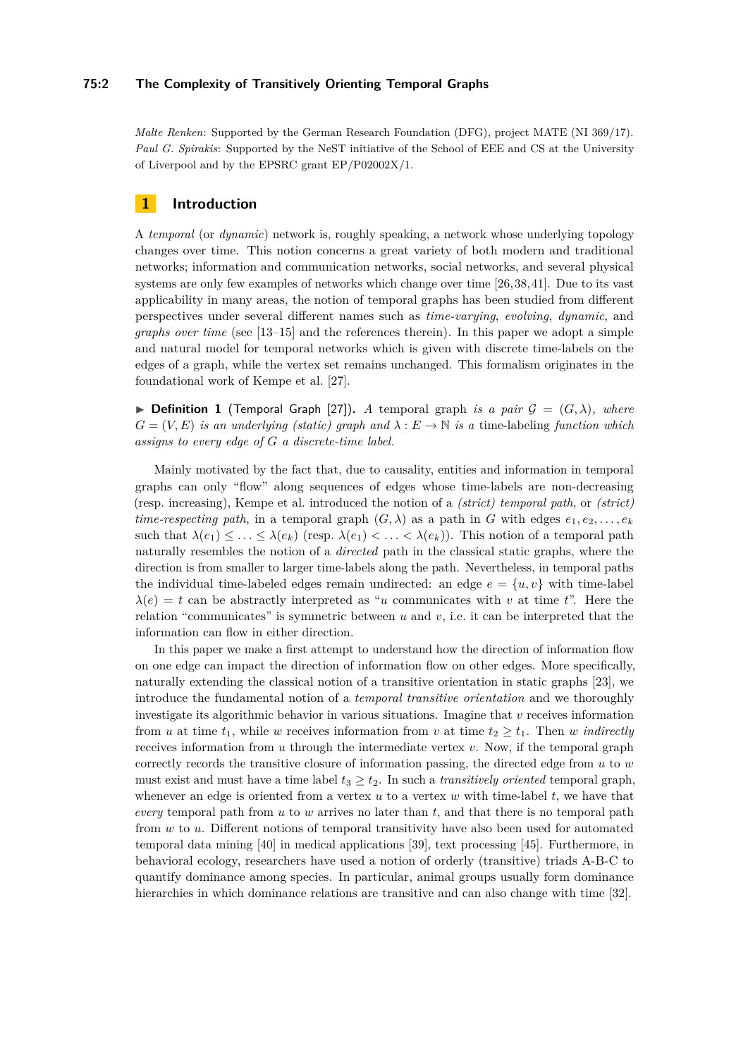#### **75:2 The Complexity of Transitively Orienting Temporal Graphs**

*Malte Renken*: Supported by the German Research Foundation (DFG), project MATE (NI 369/17). *Paul G. Spirakis*: Supported by the NeST initiative of the School of EEE and CS at the University of Liverpool and by the EPSRC grant EP/P02002X/1.

# **1 Introduction**

A *temporal* (or *dynamic*) network is, roughly speaking, a network whose underlying topology changes over time. This notion concerns a great variety of both modern and traditional networks; information and communication networks, social networks, and several physical systems are only few examples of networks which change over time [\[26,](#page-16-1)[38,](#page-16-2)[41\]](#page-17-0). Due to its vast applicability in many areas, the notion of temporal graphs has been studied from different perspectives under several different names such as *time-varying*, *evolving*, *dynamic*, and *graphs over time* (see [\[13](#page-15-0)[–15\]](#page-15-1) and the references therein). In this paper we adopt a simple and natural model for temporal networks which is given with discrete time-labels on the edges of a graph, while the vertex set remains unchanged. This formalism originates in the foundational work of Kempe et al. [\[27\]](#page-16-3).

<span id="page-1-0"></span> $\triangleright$  **Definition 1** (Temporal Graph [\[27\]](#page-16-3)). *A* temporal graph *is a pair*  $\mathcal{G} = (G, \lambda)$ *, where*  $G = (V, E)$  *is an underlying (static) graph and*  $\lambda : E \to \mathbb{N}$  *is a time-labeling function which assigns to every edge of G a discrete-time label.*

Mainly motivated by the fact that, due to causality, entities and information in temporal graphs can only "flow" along sequences of edges whose time-labels are non-decreasing (resp. increasing), Kempe et al. introduced the notion of a *(strict) temporal path*, or *(strict) time-respecting path*, in a temporal graph  $(G, \lambda)$  as a path in *G* with edges  $e_1, e_2, \ldots, e_k$ such that  $\lambda(e_1) \leq \ldots \leq \lambda(e_k)$  (resp.  $\lambda(e_1) < \ldots < \lambda(e_k)$ ). This notion of a temporal path naturally resembles the notion of a *directed* path in the classical static graphs, where the direction is from smaller to larger time-labels along the path. Nevertheless, in temporal paths the individual time-labeled edges remain undirected: an edge  $e = \{u, v\}$  with time-label  $\lambda(e) = t$  can be abstractly interpreted as "*u* communicates with *v* at time *t*". Here the relation "communicates" is symmetric between *u* and *v*, i.e. it can be interpreted that the information can flow in either direction.

In this paper we make a first attempt to understand how the direction of information flow on one edge can impact the direction of information flow on other edges. More specifically, naturally extending the classical notion of a transitive orientation in static graphs [\[23\]](#page-16-4), we introduce the fundamental notion of a *temporal transitive orientation* and we thoroughly investigate its algorithmic behavior in various situations. Imagine that *v* receives information from *u* at time  $t_1$ , while *w* receives information from *v* at time  $t_2 \geq t_1$ . Then *w indirectly* receives information from *u* through the intermediate vertex *v*. Now, if the temporal graph correctly records the transitive closure of information passing, the directed edge from *u* to *w* must exist and must have a time label  $t_3 \geq t_2$ . In such a *transitively oriented* temporal graph, whenever an edge is oriented from a vertex *u* to a vertex *w* with time-label *t*, we have that *every* temporal path from *u* to *w* arrives no later than *t*, and that there is no temporal path from *w* to *u*. Different notions of temporal transitivity have also been used for automated temporal data mining [\[40\]](#page-16-5) in medical applications [\[39\]](#page-16-6), text processing [\[45\]](#page-17-1). Furthermore, in behavioral ecology, researchers have used a notion of orderly (transitive) triads A-B-C to quantify dominance among species. In particular, animal groups usually form dominance hierarchies in which dominance relations are transitive and can also change with time [\[32\]](#page-16-7).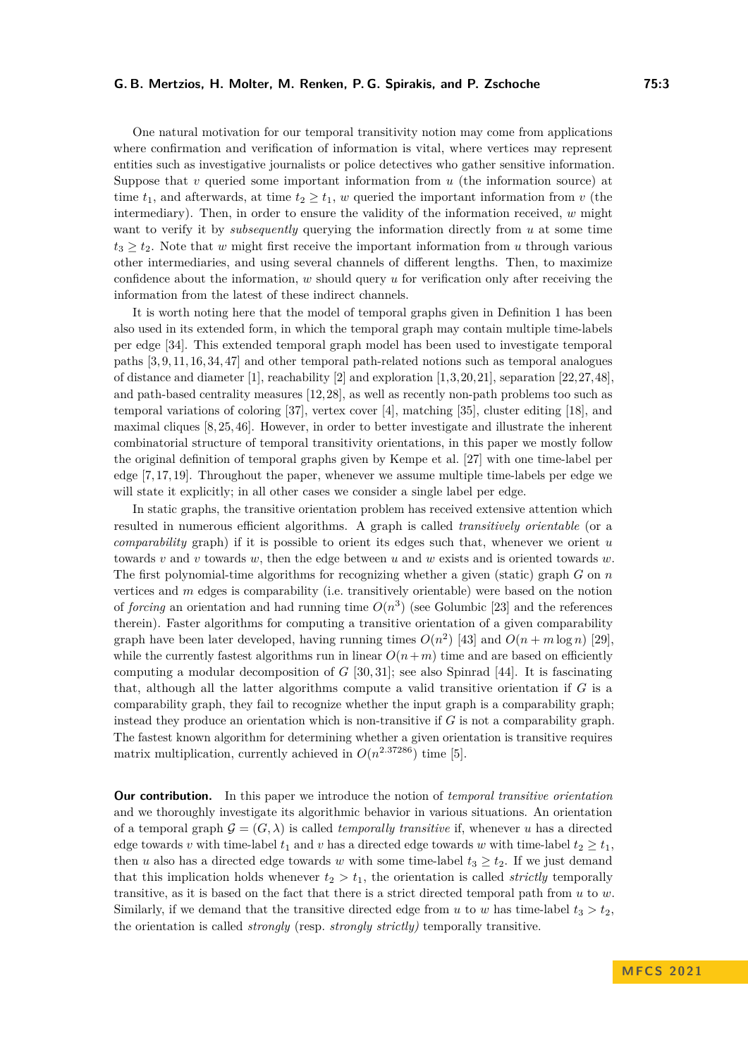#### **G. B. Mertzios, H. Molter, M. Renken, P. G. Spirakis, and P. Zschoche 75:3**

One natural motivation for our temporal transitivity notion may come from applications where confirmation and verification of information is vital, where vertices may represent entities such as investigative journalists or police detectives who gather sensitive information. Suppose that *v* queried some important information from *u* (the information source) at time  $t_1$ , and afterwards, at time  $t_2 \geq t_1$ , *w* queried the important information from *v* (the intermediary). Then, in order to ensure the validity of the information received, *w* might want to verify it by *subsequently* querying the information directly from *u* at some time  $t_3 \geq t_2$ . Note that *w* might first receive the important information from *u* through various other intermediaries, and using several channels of different lengths. Then, to maximize confidence about the information, *w* should query *u* for verification only after receiving the information from the latest of these indirect channels.

It is worth noting here that the model of temporal graphs given in Definition [1](#page-1-0) has been also used in its extended form, in which the temporal graph may contain multiple time-labels per edge [\[34\]](#page-16-8). This extended temporal graph model has been used to investigate temporal paths [\[3,](#page-15-2) [9,](#page-15-3) [11,](#page-15-4) [16,](#page-15-5) [34,](#page-16-8) [47\]](#page-17-2) and other temporal path-related notions such as temporal analogues of distance and diameter [\[1\]](#page-14-0), reachability [\[2\]](#page-14-1) and exploration [\[1,](#page-14-0)[3,](#page-15-2)[20,](#page-16-9)[21\]](#page-16-10), separation [\[22,](#page-16-11)[27,](#page-16-3)[48\]](#page-17-3), and path-based centrality measures [\[12,](#page-15-6)[28\]](#page-16-12), as well as recently non-path problems too such as temporal variations of coloring [\[37\]](#page-16-13), vertex cover [\[4\]](#page-15-7), matching [\[35\]](#page-16-14), cluster editing [\[18\]](#page-15-8), and maximal cliques [\[8,](#page-15-9) [25,](#page-16-15) [46\]](#page-17-4). However, in order to better investigate and illustrate the inherent combinatorial structure of temporal transitivity orientations, in this paper we mostly follow the original definition of temporal graphs given by Kempe et al. [\[27\]](#page-16-3) with one time-label per edge [\[7,](#page-15-10) [17,](#page-15-11) [19\]](#page-15-12). Throughout the paper, whenever we assume multiple time-labels per edge we will state it explicitly; in all other cases we consider a single label per edge.

In static graphs, the transitive orientation problem has received extensive attention which resulted in numerous efficient algorithms. A graph is called *transitively orientable* (or a *comparability* graph) if it is possible to orient its edges such that, whenever we orient *u* towards *v* and *v* towards *w*, then the edge between *u* and *w* exists and is oriented towards *w*. The first polynomial-time algorithms for recognizing whether a given (static) graph *G* on *n* vertices and *m* edges is comparability (i.e. transitively orientable) were based on the notion of *forcing* an orientation and had running time  $O(n^3)$  (see Golumbic [\[23\]](#page-16-4) and the references therein). Faster algorithms for computing a transitive orientation of a given comparability graph have been later developed, having running times  $O(n^2)$  [\[43\]](#page-17-5) and  $O(n+m \log n)$  [\[29\]](#page-16-16), while the currently fastest algorithms run in linear  $O(n+m)$  time and are based on efficiently computing a modular decomposition of *G* [\[30,](#page-16-17) [31\]](#page-16-18); see also Spinrad [\[44\]](#page-17-6). It is fascinating that, although all the latter algorithms compute a valid transitive orientation if *G* is a comparability graph, they fail to recognize whether the input graph is a comparability graph; instead they produce an orientation which is non-transitive if *G* is not a comparability graph. The fastest known algorithm for determining whether a given orientation is transitive requires matrix multiplication, currently achieved in  $O(n^{2.37286})$  time [\[5\]](#page-15-13).

**Our contribution.** In this paper we introduce the notion of *temporal transitive orientation* and we thoroughly investigate its algorithmic behavior in various situations. An orientation of a temporal graph  $\mathcal{G} = (G, \lambda)$  is called *temporally transitive* if, whenever *u* has a directed edge towards *v* with time-label  $t_1$  and *v* has a directed edge towards *w* with time-label  $t_2 \geq t_1$ . then *u* also has a directed edge towards *w* with some time-label  $t_3 \geq t_2$ . If we just demand that this implication holds whenever  $t_2 > t_1$ , the orientation is called *strictly* temporally transitive, as it is based on the fact that there is a strict directed temporal path from *u* to *w*. Similarly, if we demand that the transitive directed edge from *u* to *w* has time-label  $t_3 > t_2$ , the orientation is called *strongly* (resp. *strongly strictly)* temporally transitive.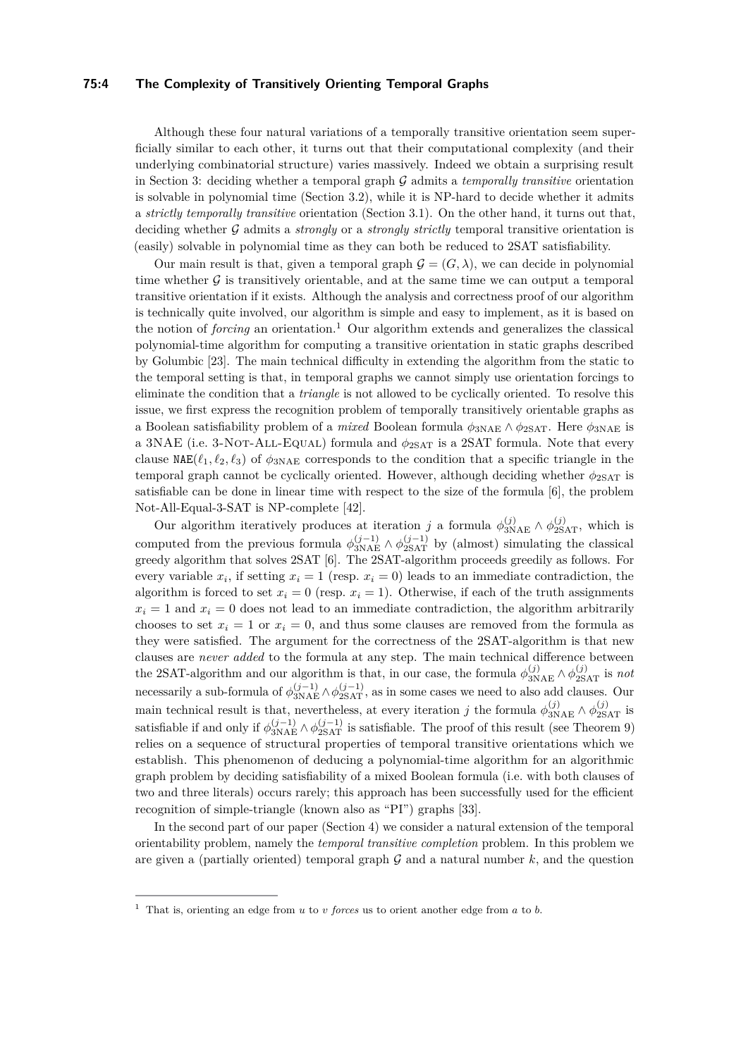#### **75:4 The Complexity of Transitively Orienting Temporal Graphs**

Although these four natural variations of a temporally transitive orientation seem superficially similar to each other, it turns out that their computational complexity (and their underlying combinatorial structure) varies massively. Indeed we obtain a surprising result in Section [3:](#page-6-0) deciding whether a temporal graph G admits a *temporally transitive* orientation is solvable in polynomial time (Section [3.2\)](#page-7-0), while it is NP-hard to decide whether it admits a *strictly temporally transitive* orientation (Section [3.1\)](#page-7-1). On the other hand, it turns out that, deciding whether G admits a *strongly* or a *strongly strictly* temporal transitive orientation is (easily) solvable in polynomial time as they can both be reduced to 2SAT satisfiability.

Our main result is that, given a temporal graph  $\mathcal{G} = (G, \lambda)$ , we can decide in polynomial time whether  $\mathcal G$  is transitively orientable, and at the same time we can output a temporal transitive orientation if it exists. Although the analysis and correctness proof of our algorithm is technically quite involved, our algorithm is simple and easy to implement, as it is based on the notion of *forcing* an orientation.<sup>[1](#page-3-0)</sup> Our algorithm extends and generalizes the classical polynomial-time algorithm for computing a transitive orientation in static graphs described by Golumbic [\[23\]](#page-16-4). The main technical difficulty in extending the algorithm from the static to the temporal setting is that, in temporal graphs we cannot simply use orientation forcings to eliminate the condition that a *triangle* is not allowed to be cyclically oriented. To resolve this issue, we first express the recognition problem of temporally transitively orientable graphs as a Boolean satisfiability problem of a *mixed* Boolean formula  $\phi_{3NAE} \wedge \phi_{2SAT}$ . Here  $\phi_{3NAE}$  is a 3NAE (i.e. 3-Not-All-Equal) formula and *ϕ*2SAT is a 2SAT formula. Note that every clause  $NAE(\ell_1, \ell_2, \ell_3)$  of  $\phi_{3NAE}$  corresponds to the condition that a specific triangle in the temporal graph cannot be cyclically oriented. However, although deciding whether  $\phi_{2\text{SAT}}$  is satisfiable can be done in linear time with respect to the size of the formula [\[6\]](#page-15-14), the problem Not-All-Equal-3-SAT is NP-complete [\[42\]](#page-17-7).

Our algorithm iteratively produces at iteration *j* a formula  $\phi_{3NAE}^{(j)} \wedge \phi_{2SAT}^{(j)}$ , which is computed from the previous formula  $\phi_{\text{3NAE}}^{(j-1)} \wedge \phi_{\text{2SAT}}^{(j-1)}$  by (almost) simulating the classical greedy algorithm that solves 2SAT [\[6\]](#page-15-14). The 2SAT-algorithm proceeds greedily as follows. For every variable  $x_i$ , if setting  $x_i = 1$  (resp.  $x_i = 0$ ) leads to an immediate contradiction, the algorithm is forced to set  $x_i = 0$  (resp.  $x_i = 1$ ). Otherwise, if each of the truth assignments  $x_i = 1$  and  $x_i = 0$  does not lead to an immediate contradiction, the algorithm arbitrarily chooses to set  $x_i = 1$  or  $x_i = 0$ , and thus some clauses are removed from the formula as they were satisfied. The argument for the correctness of the 2SAT-algorithm is that new clauses are *never added* to the formula at any step. The main technical difference between the 2SAT-algorithm and our algorithm is that, in our case, the formula  $\phi_{3NAE}^{(j)} \wedge \phi_{2SAT}^{(j)}$  is *not* necessarily a sub-formula of  $\phi_{3NAE}^{(j-1)} \wedge \phi_{2SAT}^{(j-1)}$ , as in some cases we need to also add clauses. Our main technical result is that, nevertheless, at every iteration *j* the formula  $\phi_{3NAE}^{(j)} \wedge \phi_{2SAT}^{(j)}$  is satisfiable if and only if  $\phi_{3\text{NAE}}^{(j-1)} \wedge \phi_{2\text{SAT}}^{(j-1)}$  is satisfiable. The proof of this result (see Theorem [9\)](#page-11-0) relies on a sequence of structural properties of temporal transitive orientations which we establish. This phenomenon of deducing a polynomial-time algorithm for an algorithmic graph problem by deciding satisfiability of a mixed Boolean formula (i.e. with both clauses of two and three literals) occurs rarely; this approach has been successfully used for the efficient recognition of simple-triangle (known also as "PI") graphs [\[33\]](#page-16-19).

In the second part of our paper (Section [4\)](#page-14-2) we consider a natural extension of the temporal orientability problem, namely the *temporal transitive completion* problem. In this problem we are given a (partially oriented) temporal graph  $G$  and a natural number  $k$ , and the question

<span id="page-3-0"></span><sup>1</sup> That is, orienting an edge from *u* to *v forces* us to orient another edge from *a* to *b*.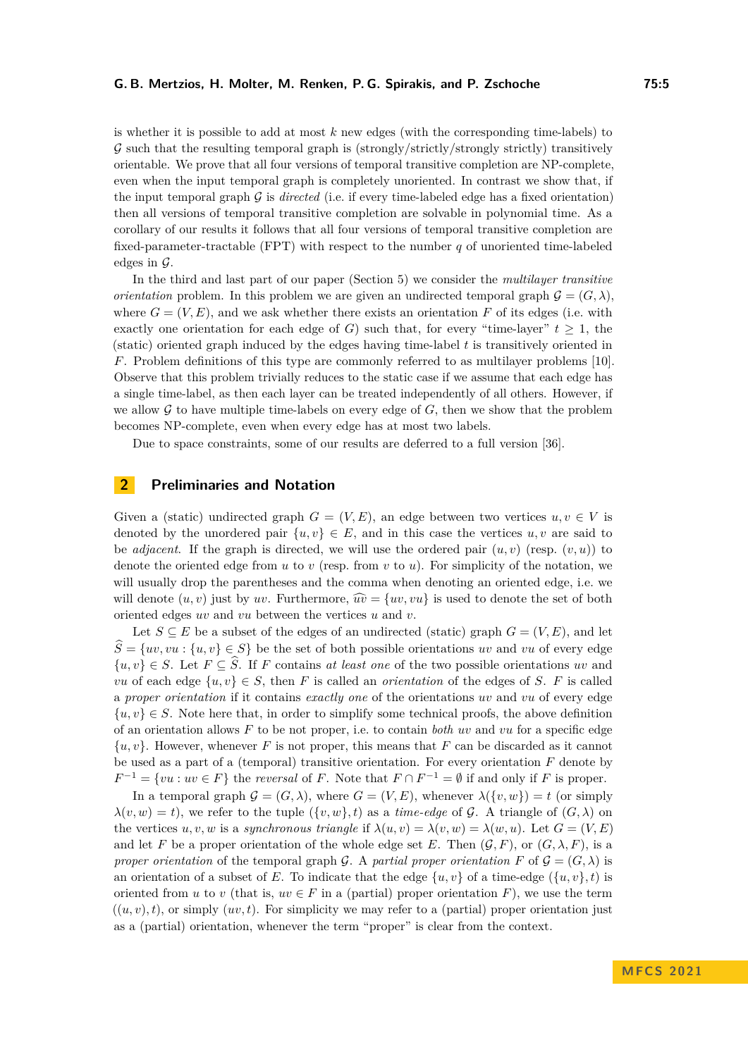is whether it is possible to add at most *k* new edges (with the corresponding time-labels) to  $\mathcal G$  such that the resulting temporal graph is (strongly/strictly/strongly strictly) transitively orientable. We prove that all four versions of temporal transitive completion are NP-complete, even when the input temporal graph is completely unoriented. In contrast we show that, if the input temporal graph  $G$  is *directed* (i.e. if every time-labeled edge has a fixed orientation) then all versions of temporal transitive completion are solvable in polynomial time. As a corollary of our results it follows that all four versions of temporal transitive completion are fixed-parameter-tractable (FPT) with respect to the number *q* of unoriented time-labeled edges in  $\mathcal{G}$ .

In the third and last part of our paper (Section [5\)](#page-14-3) we consider the *multilayer transitive orientation* problem. In this problem we are given an undirected temporal graph  $\mathcal{G} = (G, \lambda)$ , where  $G = (V, E)$ , and we ask whether there exists an orientation F of its edges (i.e. with exactly one orientation for each edge of *G*) such that, for every "time-layer"  $t \geq 1$ , the (static) oriented graph induced by the edges having time-label *t* is transitively oriented in *F*. Problem definitions of this type are commonly referred to as multilayer problems [\[10\]](#page-15-15). Observe that this problem trivially reduces to the static case if we assume that each edge has a single time-label, as then each layer can be treated independently of all others. However, if we allow  $G$  to have multiple time-labels on every edge of  $G$ , then we show that the problem becomes NP-complete, even when every edge has at most two labels.

Due to space constraints, some of our results are deferred to a full version [\[36\]](#page-16-0).

# <span id="page-4-0"></span>**2 Preliminaries and Notation**

Given a (static) undirected graph  $G = (V, E)$ , an edge between two vertices  $u, v \in V$  is denoted by the unordered pair  $\{u, v\} \in E$ , and in this case the vertices  $u, v$  are said to be *adjacent*. If the graph is directed, we will use the ordered pair  $(u, v)$  (resp.  $(v, u)$ ) to denote the oriented edge from *u* to *v* (resp. from *v* to *u*). For simplicity of the notation, we will usually drop the parentheses and the comma when denoting an oriented edge, i.e. we will denote  $(u, v)$  just by *uv*. Furthermore,  $\widehat{uv} = \{uv, vu\}$  is used to denote the set of both oriented edges *uv* and *vu* between the vertices *u* and *v*.

Let  $S \subseteq E$  be a subset of the edges of an undirected (static) graph  $G = (V, E)$ , and let  $\hat{S} = \{uv, vu : \{u, v\} \in S\}$  be the set of both possible orientations *uv* and *vu* of every edge  $\{u, v\} \in S$ . Let  $F \subseteq \hat{S}$ . If *F* contains *at least one* of the two possible orientations *uv* and *vu* of each edge  $\{u, v\} \in S$ , then *F* is called an *orientation* of the edges of *S*. *F* is called a *proper orientation* if it contains *exactly one* of the orientations *uv* and *vu* of every edge  $\{u, v\} \in S$ . Note here that, in order to simplify some technical proofs, the above definition of an orientation allows *F* to be not proper, i.e. to contain *both uv* and *vu* for a specific edge  $\{u, v\}$ . However, whenever *F* is not proper, this means that *F* can be discarded as it cannot be used as a part of a (temporal) transitive orientation. For every orientation *F* denote by  $F^{-1} = \{vu : uv \in F\}$  the *reversal* of *F*. Note that  $F \cap F^{-1} = \emptyset$  if and only if *F* is proper.

In a temporal graph  $\mathcal{G} = (G, \lambda)$ , where  $G = (V, E)$ , whenever  $\lambda({v, w}) = t$  (or simply  $\lambda(v, w) = t$ , we refer to the tuple  $(\{v, w\}, t)$  as a *time-edge* of G. A triangle of  $(G, \lambda)$  on the vertices  $u, v, w$  is a *synchronous triangle* if  $\lambda(u, v) = \lambda(v, w) = \lambda(w, u)$ . Let  $G = (V, E)$ and let *F* be a proper orientation of the whole edge set *E*. Then  $(G, F)$ , or  $(G, \lambda, F)$ , is a *proper orientation* of the temporal graph G. A *partial proper orientation* F of  $\mathcal{G} = (G, \lambda)$  is an orientation of a subset of *E*. To indicate that the edge  $\{u, v\}$  of a time-edge  $(\{u, v\}, t)$  is oriented from *u* to *v* (that is,  $uv \in F$  in a (partial) proper orientation *F*), we use the term  $((u, v), t)$ , or simply  $(uv, t)$ . For simplicity we may refer to a (partial) proper orientation just as a (partial) orientation, whenever the term "proper" is clear from the context.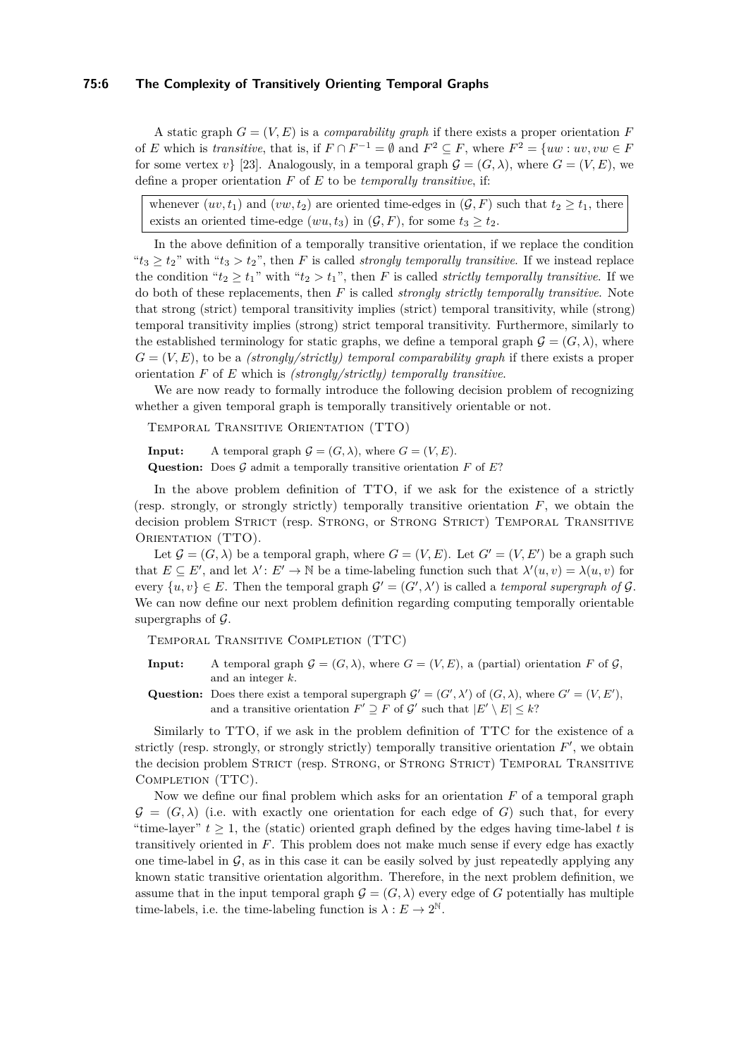#### **75:6 The Complexity of Transitively Orienting Temporal Graphs**

A static graph  $G = (V, E)$  is a *comparability graph* if there exists a proper orientation F of *E* which is *transitive*, that is, if  $F \cap F^{-1} = \emptyset$  and  $F^2 \subseteq F$ , where  $F^2 = \{uw : uv, vw \in F\}$ for some vertex *v*} [\[23\]](#page-16-4). Analogously, in a temporal graph  $\mathcal{G} = (G, \lambda)$ , where  $G = (V, E)$ , we define a proper orientation *F* of *E* to be *temporally transitive*, if:

whenever  $(uv, t_1)$  and  $(vw, t_2)$  are oriented time-edges in  $(\mathcal{G}, F)$  such that  $t_2 \geq t_1$ , there exists an oriented time-edge  $(wu, t_3)$  in  $(\mathcal{G}, F)$ , for some  $t_3 \geq t_2$ .

In the above definition of a temporally transitive orientation, if we replace the condition " $t_3 \ge t_2$ " with " $t_3 > t_2$ ", then *F* is called *strongly temporally transitive*. If we instead replace the condition " $t_2 \geq t_1$ " with " $t_2 > t_1$ ", then *F* is called *strictly temporally transitive*. If we do both of these replacements, then *F* is called *strongly strictly temporally transitive*. Note that strong (strict) temporal transitivity implies (strict) temporal transitivity, while (strong) temporal transitivity implies (strong) strict temporal transitivity. Furthermore, similarly to the established terminology for static graphs, we define a temporal graph  $\mathcal{G} = (G, \lambda)$ , where  $G = (V, E)$ , to be a *(strongly/strictly) temporal comparability graph* if there exists a proper orientation *F* of *E* which is *(strongly/strictly) temporally transitive*.

We are now ready to formally introduce the following decision problem of recognizing whether a given temporal graph is temporally transitively orientable or not.

Temporal Transitive Orientation (TTO)

**Input:** A temporal graph  $G = (G, \lambda)$ , where  $G = (V, E)$ .

**Question:** Does  $\mathcal G$  admit a temporally transitive orientation  $F$  of  $E$ ?

In the above problem definition of TTO, if we ask for the existence of a strictly (resp. strongly, or strongly strictly) temporally transitive orientation *F*, we obtain the decision problem STRICT (resp. STRONG, or STRONG STRICT) TEMPORAL TRANSITIVE ORIENTATION (TTO).

Let  $\mathcal{G} = (G, \lambda)$  be a temporal graph, where  $G = (V, E)$ . Let  $G' = (V, E')$  be a graph such that  $E \subseteq E'$ , and let  $\lambda' : E' \to \mathbb{N}$  be a time-labeling function such that  $\lambda'(u, v) = \lambda(u, v)$  for every  $\{u, v\} \in E$ . Then the temporal graph  $\mathcal{G}' = (G', \lambda')$  is called a *temporal supergraph of*  $\mathcal{G}$ . We can now define our next problem definition regarding computing temporally orientable supergraphs of  $\mathcal G$ .

Temporal Transitive Completion (TTC)

- **Input:** A temporal graph  $\mathcal{G} = (G, \lambda)$ , where  $G = (V, E)$ , a (partial) orientation F of G, and an integer *k*.
- **Question:** Does there exist a temporal supergraph  $\mathcal{G}' = (G', \lambda')$  of  $(G, \lambda)$ , where  $G' = (V, E')$ , and a transitive orientation  $F' \supseteq F$  of  $\mathcal{G}'$  such that  $|E' \setminus E| \leq k$ ?

Similarly to TTO, if we ask in the problem definition of TTC for the existence of a strictly (resp. strongly, or strongly strictly) temporally transitive orientation  $F'$ , we obtain the decision problem STRICT (resp. STRONG, or STRONG STRICT) TEMPORAL TRANSITIVE COMPLETION (TTC).

Now we define our final problem which asks for an orientation *F* of a temporal graph  $\mathcal{G} = (G, \lambda)$  (i.e. with exactly one orientation for each edge of *G*) such that, for every "time-layer"  $t \geq 1$ , the (static) oriented graph defined by the edges having time-label t is transitively oriented in *F*. This problem does not make much sense if every edge has exactly one time-label in  $\mathcal G$ , as in this case it can be easily solved by just repeatedly applying any known static transitive orientation algorithm. Therefore, in the next problem definition, we assume that in the input temporal graph  $\mathcal{G} = (G, \lambda)$  every edge of *G* potentially has multiple time-labels, i.e. the time-labeling function is  $\lambda : E \to 2^{\mathbb{N}}$ .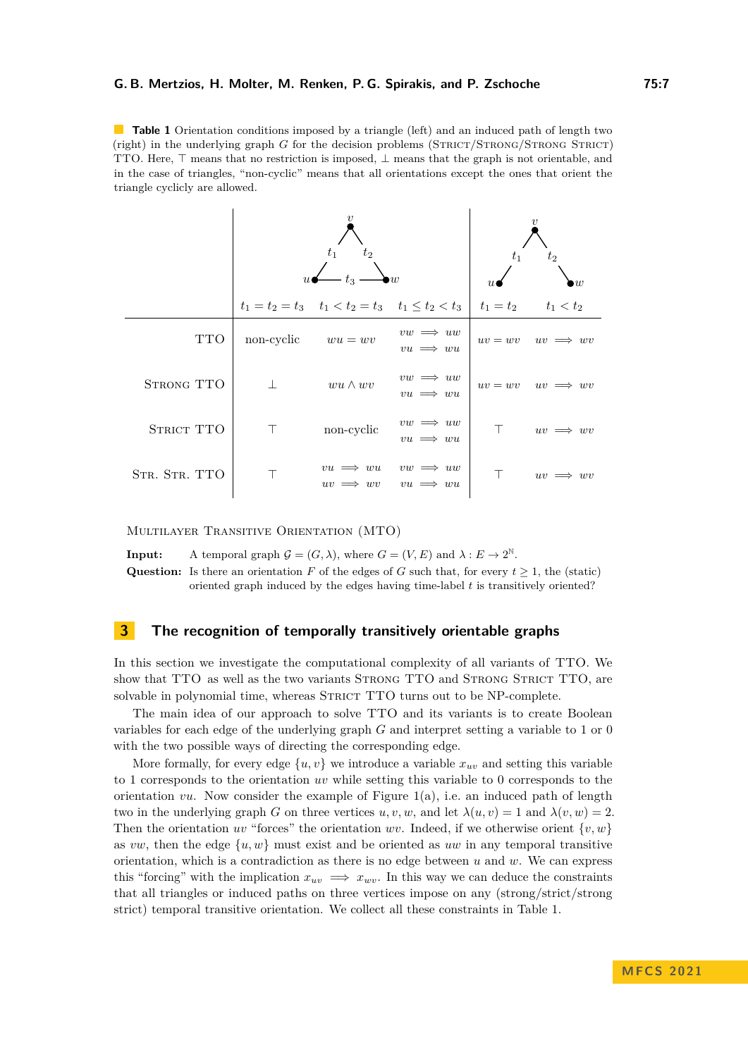<span id="page-6-1"></span>**Table 1** Orientation conditions imposed by a triangle (left) and an induced path of length two (right) in the underlying graph *G* for the decision problems (STRICT/STRONG/STRONG STRICT) TTO. Here, ⊤ means that no restriction is imposed, ⊥ means that the graph is not orientable, and in the case of triangles, "non-cyclic" means that all orientations except the ones that orient the triangle cyclicly are allowed.

|               | t <sub>2</sub><br>$t_1$<br>$\overline{u}$<br>$t_{3}$ |                                                         |                                      | $t_2$<br>$t_{1}$<br>$\overline{w}$ |                            |
|---------------|------------------------------------------------------|---------------------------------------------------------|--------------------------------------|------------------------------------|----------------------------|
|               |                                                      | $t_1 = t_2 = t_3$ $t_1 < t_2 = t_3$ $t_1 \le t_2 < t_3$ |                                      | $t_1 = t_2$                        | $t_1 < t_2$                |
| <b>TTO</b>    | non-cyclic $wu = wv$                                 |                                                         | $vw \implies uw$<br>$vu \implies wu$ |                                    | $uv = wv$ $uv \implies wv$ |
| STRONG TTO    |                                                      | $wu \wedge wv$                                          | $vw \implies uw$<br>$vu \implies wu$ |                                    | $uv = wv$ $uv \implies wv$ |
| STRICT TTO    | T.                                                   | non-cyclic                                              | $vw \implies uw$<br>$vu \implies wu$ | $\top$                             | $uv \implies wv$           |
| STR. STR. TTO |                                                      | $vu \implies wu$<br>$uv \implies$<br>$w\overline{v}$    | $vw \implies uw$<br>$vu \implies wu$ |                                    | $uv \implies wv$           |

Multilayer Transitive Orientation (MTO)

**Input:** A temporal graph  $\mathcal{G} = (G, \lambda)$ , where  $G = (V, E)$  and  $\lambda : E \to 2^{\mathbb{N}}$ . **Question:** Is there an orientation *F* of the edges of *G* such that, for every  $t \geq 1$ , the (static) oriented graph induced by the edges having time-label *t* is transitively oriented?

## <span id="page-6-0"></span>**3 The recognition of temporally transitively orientable graphs**

In this section we investigate the computational complexity of all variants of TTO. We show that TTO as well as the two variants STRONG TTO and STRONG STRICT TTO, are solvable in polynomial time, whereas STRICT TTO turns out to be NP-complete.

The main idea of our approach to solve TTO and its variants is to create Boolean variables for each edge of the underlying graph *G* and interpret setting a variable to 1 or 0 with the two possible ways of directing the corresponding edge.

More formally, for every edge  $\{u, v\}$  we introduce a variable  $x_{uv}$  and setting this variable to 1 corresponds to the orientation *uv* while setting this variable to 0 corresponds to the orientation  $vu$ . Now consider the example of Figure [1\(](#page-8-0)a), i.e. an induced path of length two in the underlying graph *G* on three vertices  $u, v, w$ , and let  $\lambda(u, v) = 1$  and  $\lambda(v, w) = 2$ . Then the orientation *uv* "forces" the orientation *wv*. Indeed, if we otherwise orient  $\{v, w\}$ as *vw*, then the edge  $\{u, w\}$  must exist and be oriented as *uw* in any temporal transitive orientation, which is a contradiction as there is no edge between *u* and *w*. We can express this "forcing" with the implication  $x_{uv} \implies x_{wv}$ . In this way we can deduce the constraints that all triangles or induced paths on three vertices impose on any (strong/strict/strong strict) temporal transitive orientation. We collect all these constraints in Table [1.](#page-6-1)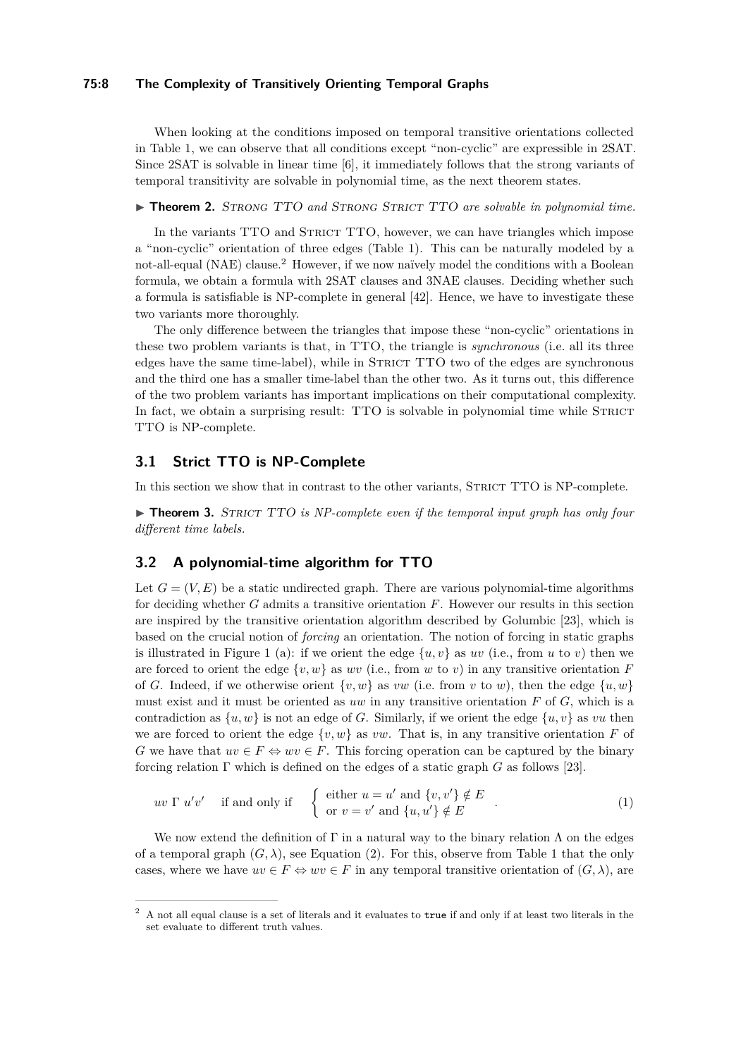#### **75:8 The Complexity of Transitively Orienting Temporal Graphs**

When looking at the conditions imposed on temporal transitive orientations collected in Table [1,](#page-6-1) we can observe that all conditions except "non-cyclic" are expressible in 2SAT. Since 2SAT is solvable in linear time [\[6\]](#page-15-14), it immediately follows that the strong variants of temporal transitivity are solvable in polynomial time, as the next theorem states.

#### ▶ **Theorem 2.** Strong TTO *and* Strong Strict TTO *are solvable in polynomial time.*

In the variants TTO and STRICT TTO, however, we can have triangles which impose a "non-cyclic" orientation of three edges (Table [1\)](#page-6-1). This can be naturally modeled by a not-all-equal (NAE) clause.<sup>[2](#page-7-2)</sup> However, if we now naïvely model the conditions with a Boolean formula, we obtain a formula with 2SAT clauses and 3NAE clauses. Deciding whether such a formula is satisfiable is NP-complete in general [\[42\]](#page-17-7). Hence, we have to investigate these two variants more thoroughly.

The only difference between the triangles that impose these "non-cyclic" orientations in these two problem variants is that, in TTO, the triangle is *synchronous* (i.e. all its three edges have the same time-label), while in STRICT TTO two of the edges are synchronous and the third one has a smaller time-label than the other two. As it turns out, this difference of the two problem variants has important implications on their computational complexity. In fact, we obtain a surprising result: TTO is solvable in polynomial time while STRICT TTO is NP-complete.

## <span id="page-7-1"></span>**3.1 Strict TTO is NP-Complete**

<span id="page-7-3"></span>In this section we show that in contrast to the other variants, STRICT TTO is NP-complete.

▶ **Theorem 3.** STRICT TTO *is NP-complete even if the temporal input graph has only four different time labels.*

## <span id="page-7-0"></span>**3.2 A polynomial-time algorithm for TTO**

Let  $G = (V, E)$  be a static undirected graph. There are various polynomial-time algorithms for deciding whether *G* admits a transitive orientation *F*. However our results in this section are inspired by the transitive orientation algorithm described by Golumbic [\[23\]](#page-16-4), which is based on the crucial notion of *forcing* an orientation. The notion of forcing in static graphs is illustrated in Figure [1](#page-8-0) (a): if we orient the edge  $\{u, v\}$  as *uv* (i.e., from *u* to *v*) then we are forced to orient the edge  $\{v, w\}$  as *wv* (i.e., from *w* to *v*) in any transitive orientation *F* of *G*. Indeed, if we otherwise orient  $\{v, w\}$  as *vw* (i.e. from *v* to *w*), then the edge  $\{u, w\}$ must exist and it must be oriented as *uw* in any transitive orientation *F* of *G*, which is a contradiction as  $\{u, w\}$  is not an edge of *G*. Similarly, if we orient the edge  $\{u, v\}$  as *vu* then we are forced to orient the edge  $\{v, w\}$  as  $vw$ . That is, in any transitive orientation F of *G* we have that  $uv \in F \Leftrightarrow uv \in F$ . This forcing operation can be captured by the binary forcing relation Γ which is defined on the edges of a static graph *G* as follows [\[23\]](#page-16-4).

$$
uv \Gamma u'v'
$$
 if and only if  $\begin{cases} \text{either } u = u' \text{ and } \{v, v'\} \notin E \\ \text{or } v = v' \text{ and } \{u, u'\} \notin E \end{cases}$ . (1)

We now extend the definition of  $\Gamma$  in a natural way to the binary relation  $\Lambda$  on the edges of a temporal graph  $(G, \lambda)$ , see Equation [\(2\)](#page-8-1). For this, observe from Table [1](#page-6-1) that the only cases, where we have  $uv \in F \Leftrightarrow uv \in F$  in any temporal transitive orientation of  $(G, \lambda)$ , are

<span id="page-7-2"></span><sup>2</sup> A not all equal clause is a set of literals and it evaluates to true if and only if at least two literals in the set evaluate to different truth values.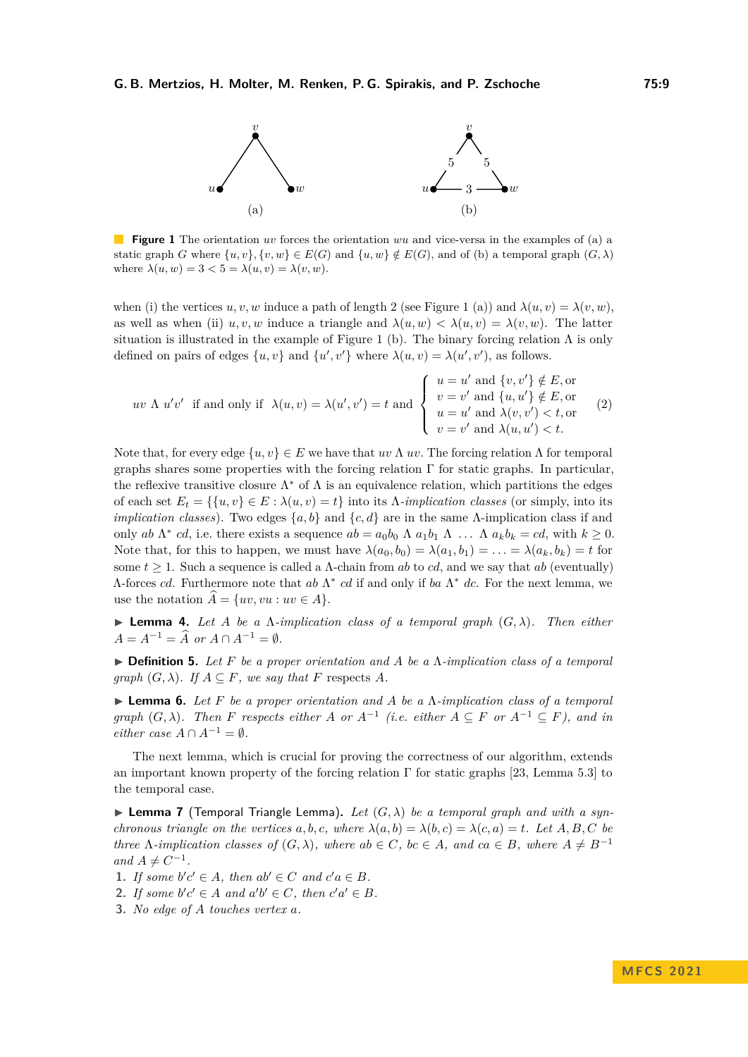<span id="page-8-0"></span>

**Figure 1** The orientation *uv* forces the orientation *wu* and vice-versa in the examples of (a) a static graph *G* where  $\{u, v\}$ ,  $\{v, w\} \in E(G)$  and  $\{u, w\} \notin E(G)$ , and of (b) a temporal graph  $(G, \lambda)$ where  $\lambda(u, w) = 3 < 5 = \lambda(u, v) = \lambda(v, w)$ .

when (i) the vertices  $u, v, w$  induce a path of length 2 (see Figure [1](#page-8-0) (a)) and  $\lambda(u, v) = \lambda(v, w)$ , as well as when (ii)  $u, v, w$  induce a triangle and  $\lambda(u, w) < \lambda(u, v) = \lambda(v, w)$ . The latter situation is illustrated in the example of Figure [1](#page-8-0) (b). The binary forcing relation  $\Lambda$  is only defined on pairs of edges  $\{u, v\}$  and  $\{u', v'\}$  where  $\lambda(u, v) = \lambda(u', v')$ , as follows.

<span id="page-8-1"></span>
$$
uv \Lambda u'v' \text{ if and only if } \lambda(u,v) = \lambda(u',v') = t \text{ and } \begin{cases} u = u' \text{ and } \{v,v'\} \notin E, \text{ or} \\ v = v' \text{ and } \{u,u'\} \notin E, \text{ or} \\ u = u' \text{ and } \lambda(v,v') < t, \text{ or} \\ v = v' \text{ and } \lambda(u,u') < t. \end{cases}
$$
(2)

Note that, for every edge  $\{u, v\} \in E$  we have that  $uv \Lambda uv$ . The forcing relation  $\Lambda$  for temporal graphs shares some properties with the forcing relation  $\Gamma$  for static graphs. In particular, the reflexive transitive closure  $\Lambda^*$  of  $\Lambda$  is an equivalence relation, which partitions the edges of each set  $E_t = \{\{u, v\} \in E : \lambda(u, v) = t\}$  into its  $\Lambda$ -*implication classes* (or simply, into its *implication classes*). Two edges  $\{a, b\}$  and  $\{c, d\}$  are in the same Λ-implication class if and only *ab* Λ<sup>\*</sup> *cd*, i.e. there exists a sequence  $ab = a_0b_0$  Λ  $a_1b_1$  Λ *...* Λ  $a_kb_k = cd$ , with  $k ≥ 0$ . Note that, for this to happen, we must have  $\lambda(a_0, b_0) = \lambda(a_1, b_1) = \ldots = \lambda(a_k, b_k) = t$  for some  $t > 1$ . Such a sequence is called a  $\Lambda$ -chain from *ab* to *cd*, and we say that *ab* (eventually) Λ-forces *cd*. Furthermore note that *ab* Λ ∗ *cd* if and only if *ba* Λ <sup>∗</sup> *dc*. For the next lemma, we use the notation  $\widehat{A} = \{uv, vu : uv \in A\}.$ 

<span id="page-8-2"></span> $\blacktriangleright$  **Lemma 4.** Let *A* be a *Λ*-implication class of a temporal graph  $(G, \lambda)$ . Then either  $A = A^{-1} = \widehat{A}$  *or*  $A \cap A^{-1} = \emptyset$ *.* 

▶ **Definition 5.** *Let F be a proper orientation and A be a* Λ*-implication class of a temporal graph*  $(G, \lambda)$ *. If*  $A \subseteq F$ *, we say that*  $F$  respects  $A$ *.* 

<span id="page-8-3"></span>▶ **Lemma 6.** *Let F be a proper orientation and A be a* Λ*-implication class of a temporal graph*  $(G, \lambda)$ *. Then F respects either A or*  $A^{-1}$  (*i.e. either*  $A \subseteq F$  *or*  $A^{-1} \subseteq F$ *), and in either case*  $A \cap A^{-1} = \emptyset$ .

The next lemma, which is crucial for proving the correctness of our algorithm, extends an important known property of the forcing relation Γ for static graphs [\[23,](#page-16-4) Lemma 5.3] to the temporal case.

 $\blacktriangleright$  **Lemma 7** (Temporal Triangle Lemma). Let  $(G, \lambda)$  be a temporal graph and with a syn*chronous triangle on the vertices*  $a, b, c$ *, where*  $\lambda(a, b) = \lambda(b, c) = \lambda(c, a) = t$ *. Let*  $A, B, C$  *be three*  $\Lambda$ -*implication classes of*  $(G, \lambda)$ *, where*  $ab \in C$ *, bc* ∈ *A, and*  $ca \in B$ *, where*  $A \neq B^{-1}$  $and A \neq C^{-1}$ .

**1.** *If some*  $b'c' \in A$ *, then*  $ab' \in C$  *and*  $c'a \in B$ *.* 

**2.** *If some*  $b'c' \in A$  *and*  $a'b' \in C$ *, then*  $c'a' \in B$ *.* 

**3.** *No edge of A touches vertex a.*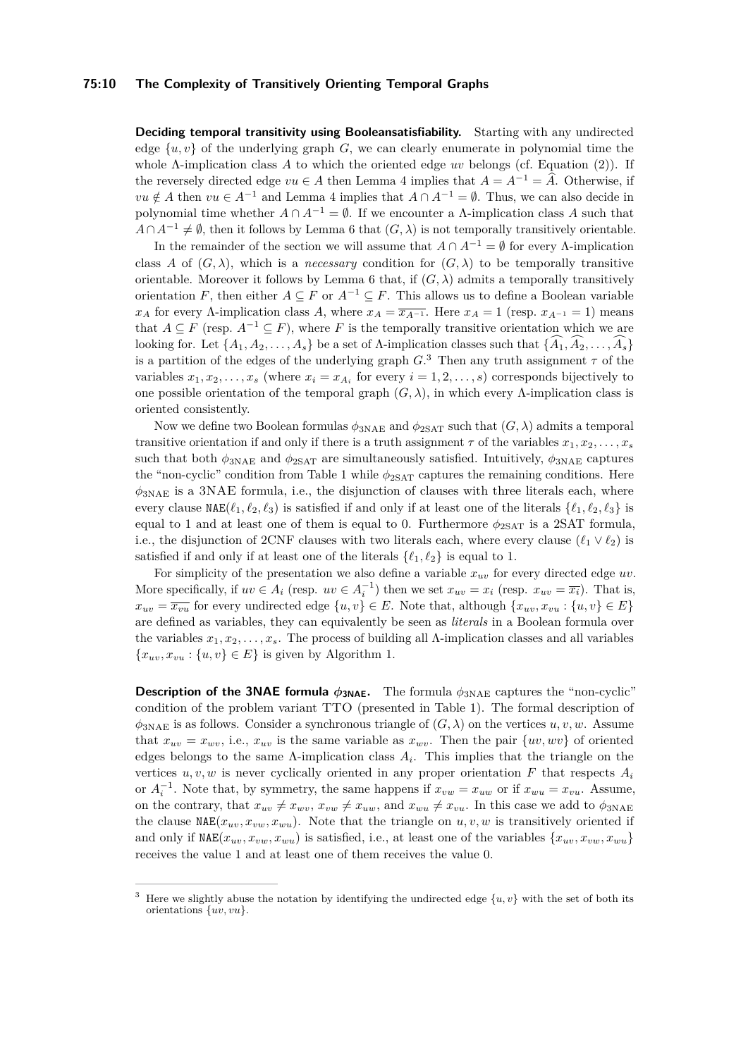#### **75:10 The Complexity of Transitively Orienting Temporal Graphs**

**Deciding temporal transitivity using Booleansatisfiability.** Starting with any undirected edge  $\{u, v\}$  of the underlying graph *G*, we can clearly enumerate in polynomial time the whole Λ-implication class *A* to which the oriented edge *uv* belongs (cf. Equation [\(2\)](#page-8-1)). If the reversely directed edge  $vu \in A$  then Lemma [4](#page-8-2) implies that  $A = A^{-1} = \hat{A}$ . Otherwise, if *vu* ∉ *A* then *vu* ∈ *A*<sup>-1</sup> and Lemma [4](#page-8-2) implies that  $A \cap A^{-1} = \emptyset$ . Thus, we can also decide in polynomial time whether  $A \cap A^{-1} = \emptyset$ . If we encounter a *Λ*-implication class *A* such that  $A \cap A^{-1} \neq \emptyset$ , then it follows by Lemma [6](#page-8-3) that  $(G, \lambda)$  is not temporally transitively orientable.

In the remainder of the section we will assume that  $A \cap A^{-1} = \emptyset$  for every  $\Lambda$ -implication class *A* of  $(G, \lambda)$ , which is a *necessary* condition for  $(G, \lambda)$  to be temporally transitive orientable. Moreover it follows by Lemma [6](#page-8-3) that, if  $(G, \lambda)$  admits a temporally transitively orientation *F*, then either  $A \subseteq F$  or  $A^{-1} \subseteq F$ . This allows us to define a Boolean variable *x<sub>A</sub>* for every Λ-implication class *A*, where  $x_A = \overline{x_{A^{-1}}}$ . Here  $x_A = 1$  (resp.  $x_{A^{-1}} = 1$ ) means that  $A \subseteq F$  (resp.  $A^{-1} \subseteq F$ ), where *F* is the temporally transitive orientation which we are looking for. Let  $\{A_1, A_2, \ldots, A_s\}$  be a set of  $\Lambda$ -implication classes such that  $\{\widehat{A}_1, \widehat{A}_2, \ldots, \widehat{A}_s\}$ is a partition of the edges of the underlying graph  $G$ <sup>[3](#page-9-0)</sup>. Then any truth assignment  $\tau$  of the variables  $x_1, x_2, \ldots, x_s$  (where  $x_i = x_{A_i}$  for every  $i = 1, 2, \ldots, s$ ) corresponds bijectively to one possible orientation of the temporal graph  $(G, \lambda)$ , in which every  $\Lambda$ -implication class is oriented consistently.

Now we define two Boolean formulas  $\phi_{3NAE}$  and  $\phi_{2SAT}$  such that  $(G, \lambda)$  admits a temporal transitive orientation if and only if there is a truth assignment  $\tau$  of the variables  $x_1, x_2, \ldots, x_s$ such that both  $\phi_{3NAE}$  and  $\phi_{2SAT}$  are simultaneously satisfied. Intuitively,  $\phi_{3NAE}$  captures the "non-cyclic" condition from Table [1](#page-6-1) while  $\phi_{2SAT}$  captures the remaining conditions. Here  $\phi_{3NAE}$  is a 3NAE formula, i.e., the disjunction of clauses with three literals each, where every clause  $NAE(\ell_1, \ell_2, \ell_3)$  is satisfied if and only if at least one of the literals  $\{\ell_1, \ell_2, \ell_3\}$  is equal to 1 and at least one of them is equal to 0. Furthermore  $\phi_{2SAT}$  is a 2SAT formula, i.e., the disjunction of 2CNF clauses with two literals each, where every clause  $(\ell_1 \vee \ell_2)$  is satisfied if and only if at least one of the literals  $\{\ell_1, \ell_2\}$  is equal to 1.

For simplicity of the presentation we also define a variable  $x_{uv}$  for every directed edge  $uv$ . More specifically, if  $uv \in A_i$  (resp.  $uv \in A_i^{-1}$ ) then we set  $x_{uv} = x_i$  (resp.  $x_{uv} = \overline{x_i}$ ). That is,  $x_{uv} = \overline{x_{vu}}$  for every undirected edge  $\{u, v\} \in E$ . Note that, although  $\{x_{uv}, x_{vu} : \{u, v\} \in E\}$ are defined as variables, they can equivalently be seen as *literals* in a Boolean formula over the variables *x*1*, x*2*, . . . , xs*. The process of building all Λ-implication classes and all variables  ${x_{uv}, x_{vu} : {u, v} \in E}$  is given by Algorithm [1.](#page-10-0)

**Description of the 3NAE formula**  $\phi_{3NAE}$ **.** The formula  $\phi_{3NAE}$  captures the "non-cyclic" condition of the problem variant TTO (presented in Table [1\)](#page-6-1). The formal description of  $\phi_{3NAE}$  is as follows. Consider a synchronous triangle of  $(G, \lambda)$  on the vertices  $u, v, w$ . Assume that  $x_{uv} = x_{uv}$ , i.e.,  $x_{uv}$  is the same variable as  $x_{uv}$ . Then the pair  $\{uv, wv\}$  of oriented edges belongs to the same  $\Lambda$ -implication class  $A_i$ . This implies that the triangle on the vertices  $u, v, w$  is never cyclically oriented in any proper orientation  $F$  that respects  $A_i$ or  $A_i^{-1}$ . Note that, by symmetry, the same happens if  $x_{vw} = x_{uw}$  or if  $x_{wu} = x_{vu}$ . Assume, on the contrary, that  $x_{uv} \neq x_{wv}$ ,  $x_{vw} \neq x_{uw}$ , and  $x_{wu} \neq x_{vu}$ . In this case we add to  $\phi_{3NAE}$ the clause  $NAE(x_{uv}, x_{vw}, x_{wu})$ . Note that the triangle on  $u, v, w$  is transitively oriented if and only if  $NAE(x_{uv}, x_{vw}, x_{wu})$  is satisfied, i.e., at least one of the variables  $\{x_{uv}, x_{vw}, x_{wu}\}$ receives the value 1 and at least one of them receives the value 0.

<span id="page-9-0"></span><sup>&</sup>lt;sup>3</sup> Here we slightly abuse the notation by identifying the undirected edge  $\{u, v\}$  with the set of both its orientations {*uv, vu*}.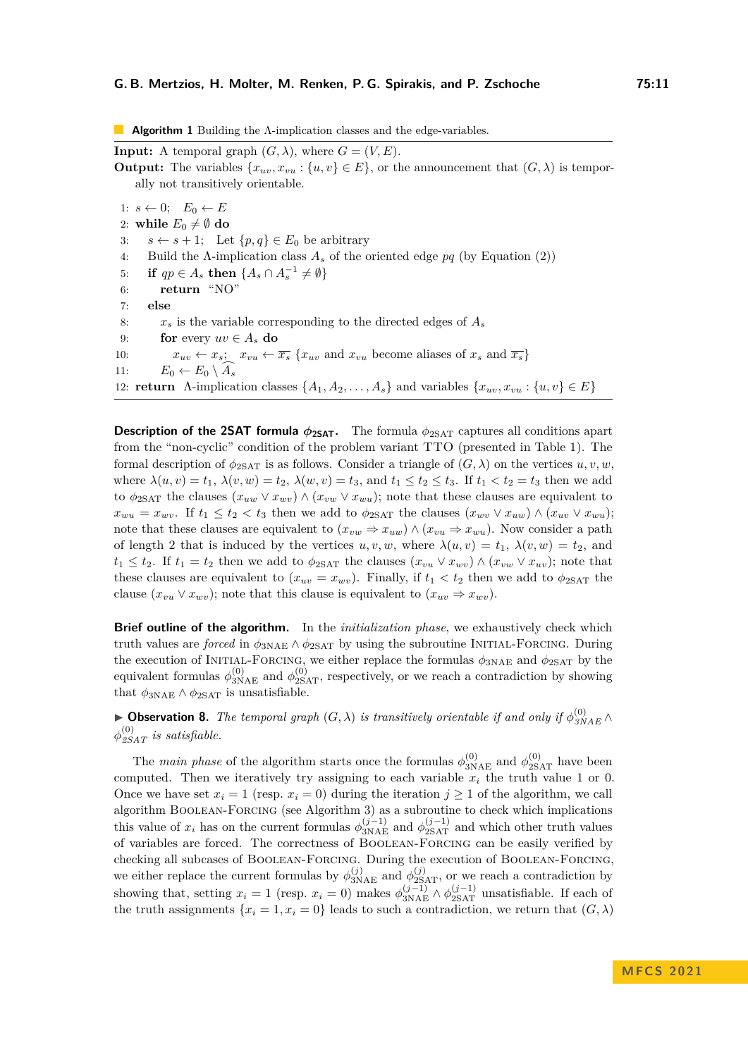<span id="page-10-0"></span>**Algorithm 1** Building the Λ-implication classes and the edge-variables.

**Input:** A temporal graph  $(G, \lambda)$ , where  $G = (V, E)$ . **Output:** The variables  $\{x_{uv}, x_{vu} : \{u, v\} \in E\}$ , or the announcement that  $(G, \lambda)$  is temporally not transitively orientable. 1:  $s \leftarrow 0$ ;  $E_0 \leftarrow E$ 2: **while**  $E_0 \neq \emptyset$  do 3:  $s \leftarrow s + 1$ ; Let  $\{p, q\} \in E_0$  be arbitrary 4: Build the Λ-implication class *A<sup>s</sup>* of the oriented edge *pq* (by Equation [\(2\)](#page-8-1)) 5: **if**  $qp \in A_s$  **then**  $\{A_s \cap A_s^{-1} \neq \emptyset\}$ 6: **return** "NO" 7: **else** 8:  $x_s$  is the variable corresponding to the directed edges of  $A_s$ 9: **for** every  $uv \in A$ **s do** 10:  $x_{uv} \leftarrow x_s$ ;  $x_{vu} \leftarrow \overline{x_s} \{x_{uv} \text{ and } x_{vu} \text{ become aliases of } x_s \text{ and } \overline{x_s}\}\$ 11:  $E_0 \leftarrow E_0 \setminus A_s$ 12: **return** Λ-implication classes  $\{A_1, A_2, \ldots, A_s\}$  and variables  $\{x_{uv}, x_{vu} : \{u, v\} \in E\}$ 

**Description of the 2SAT formula** *ϕ***2SAT.** The formula *ϕ*2SAT captures all conditions apart from the "non-cyclic" condition of the problem variant TTO (presented in Table [1\)](#page-6-1). The formal description of  $\phi_{2\text{SAT}}$  is as follows. Consider a triangle of  $(G, \lambda)$  on the vertices  $u, v, w$ . where  $\lambda(u, v) = t_1, \lambda(v, w) = t_2, \lambda(w, v) = t_3$ , and  $t_1 \le t_2 \le t_3$ . If  $t_1 < t_2 = t_3$  then we add to  $\phi_{2SAT}$  the clauses  $(x_{uw} \vee x_{wv}) \wedge (x_{vw} \vee x_{wu})$ ; note that these clauses are equivalent to  $x_{wu} = x_{wv}$ . If  $t_1 \leq t_2 < t_3$  then we add to  $\phi_{2SAT}$  the clauses  $(x_{wv} \vee x_{uw}) \wedge (x_{uv} \vee x_{wu});$ note that these clauses are equivalent to  $(x_{vw} \Rightarrow x_{ww}) \wedge (x_{vu} \Rightarrow x_{wu})$ . Now consider a path of length 2 that is induced by the vertices  $u, v, w$ , where  $\lambda(u, v) = t_1, \lambda(v, w) = t_2$ , and  $t_1 \leq t_2$ . If  $t_1 = t_2$  then we add to  $\phi_{2SAT}$  the clauses  $(x_{vu} \vee x_{uv}) \wedge (x_{vw} \vee x_{uv})$ ; note that these clauses are equivalent to  $(x_{uv} = x_{wv})$ . Finally, if  $t_1 < t_2$  then we add to  $\phi_{2SAT}$  the clause  $(x_{vu} \vee x_{wv})$ ; note that this clause is equivalent to  $(x_{uv} \Rightarrow x_{wv})$ .

**Brief outline of the algorithm.** In the *initialization phase*, we exhaustively check which truth values are *forced* in  $\phi_{3NAE} \wedge \phi_{2SAT}$  by using the subroutine INITIAL-FORCING. During the execution of INITIAL-FORCING, we either replace the formulas  $\phi_{3NAE}$  and  $\phi_{2SAT}$  by the equivalent formulas  $\phi_{3NAE}^{(0)}$  and  $\phi_{2SAT}^{(0)}$ , respectively, or we reach a contradiction by showing that  $\phi_{3NAE} \wedge \phi_{2SAT}$  is unsatisfiable.

<span id="page-10-1"></span>▶ **Observation 8.** *The temporal graph*  $(G, \lambda)$  *is transitively orientable if and only if*  $\phi_{SNAE}^{(0)} \wedge$  $\phi_{\mathcal{L}SAT}^{(0)}$  *is satisfiable.* 

The *main phase* of the algorithm starts once the formulas  $\phi_{3NAE}^{(0)}$  and  $\phi_{2SAT}^{(0)}$  have been computed. Then we iteratively try assigning to each variable  $x_i$  the truth value 1 or 0. Once we have set  $x_i = 1$  (resp.  $x_i = 0$ ) during the iteration  $j \ge 1$  of the algorithm, we call algorithm [Boolean-Forcing](#page-12-0) (see Algorithm [3\)](#page-12-0) as a subroutine to check which implications this value of  $x_i$  has on the current formulas  $\phi_{3NAE}^{(j-1)}$  and  $\phi_{2SAT}^{(j-1)}$  and which other truth values of variables are forced. The correctness of [Boolean-Forcing](#page-12-0) can be easily verified by checking all subcases of [Boolean-Forcing](#page-12-0). During the execution of [Boolean-Forcing](#page-12-0), we either replace the current formulas by  $\phi_{3NAE}^{(j)}$  and  $\phi_{2SAT}^{(j)}$ , or we reach a contradiction by showing that, setting  $x_i = 1$  (resp.  $x_i = 0$ ) makes  $\phi_{3NAE}^{(j-1)} \wedge \phi_{2SAT}^{(j-1)}$  unsatisfiable. If each of the truth assignments  $\{x_i = 1, x_i = 0\}$  leads to such a contradiction, we return that  $(G, \lambda)$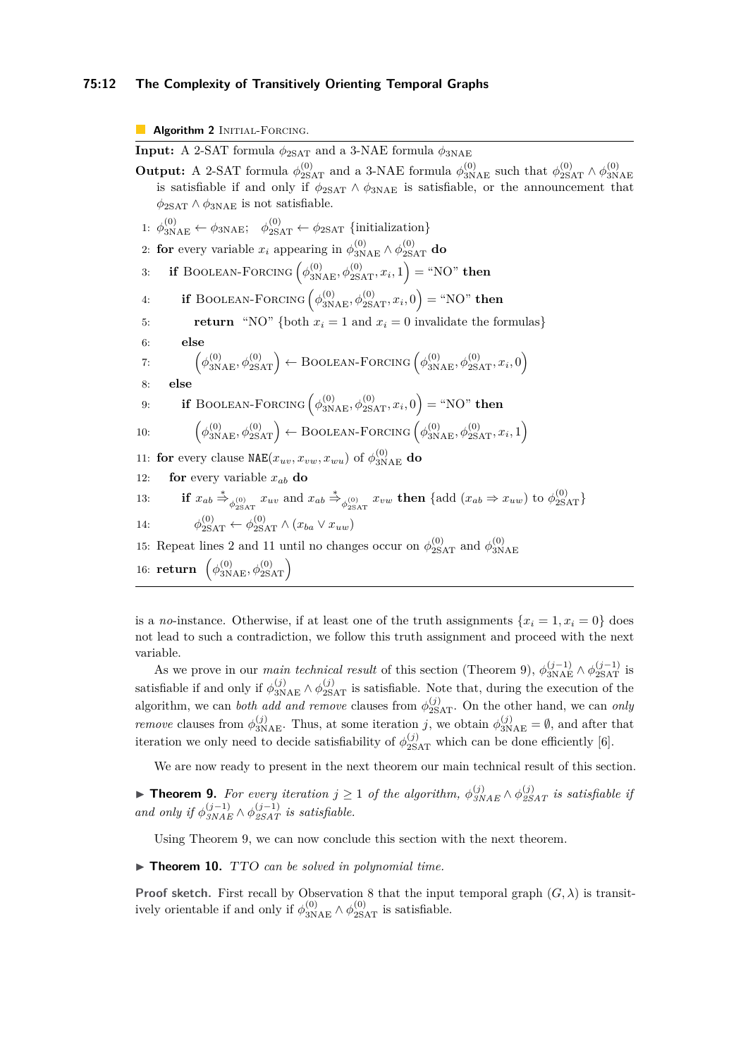#### **75:12 The Complexity of Transitively Orienting Temporal Graphs**

#### <span id="page-11-1"></span>**Algorithm 2** INITIAL-FORCING.

<span id="page-11-2"></span>**Input:** A 2-SAT formula  $\phi_{2SAT}$  and a 3-NAE formula  $\phi_{3NAE}$ **Output:** A 2-SAT formula  $\phi_{2SAT}^{(0)}$  and a 3-NAE formula  $\phi_{3NAE}^{(0)}$  such that  $\phi_{2SAT}^{(0)} \wedge \phi_{3N}^{(0)}$ 3NAE is satisfiable if and only if  $\phi_{2SAT} \wedge \phi_{3NAE}$  is satisfiable, or the announcement that  $\phi_{2SAT} \wedge \phi_{3NAE}$  is not satisfiable. 1:  $\phi_{3\text{NAE}}^{(0)} \leftarrow \phi_{3\text{NAE}}$ ;  $\phi_{2\text{SAT}}^{(0)} \leftarrow \phi_{2\text{SAT}}$  {initialization} 2: **for** every variable  $x_i$  appearing in  $\phi_{3NAE}^{(0)} \wedge \phi_{2SAT}^{(0)}$  **do** 3: **if** BOOLEAN-FORCING  $(\phi_{3NAE}^{(0)}, \phi_{2SAT}^{(0)}, x_i, 1) =$  "NO" **then** 4: **if** BOOLEAN-FORCING  $(\phi_{3\text{NAE}}^{(0)}, \phi_{2\text{SAT}}^{(0)}, x_i, 0) = \text{``NO''}$  then 5: **return** "NO" {both  $x_i = 1$  and  $x_i = 0$  invalidate the formulas} 6: **else** 7:  $\left(\phi_{3\text{NAE}}^{(0)}, \phi_{2\text{SAT}}^{(0)}\right) \leftarrow \text{Boolean-FORCING}\left(\phi_{3\text{NAE}}^{(0)}, \phi_{2\text{SAT}}^{(0)}, x_i, 0\right)$ 8: **else** 9: **if** BOOLEAN-FORCING  $(\phi_{3\text{NAE}}^{(0)}, \phi_{2\text{SAT}}^{(0)}, x_i, 0) = \text{``NO''}$  then 10:  $\phi_{3\text{NAE}}^{(0)}, \phi_{2\text{SAT}}^{(0)}$  + [Boolean-Forcing](#page-12-0)  $\left(\phi_{3\text{NAE}}^{(0)}, \phi_{2\text{SAT}}^{(0)}, x_i, 1\right)$ 11: **for** every clause  $\texttt{NAE}(x_{uv}, x_{vw}, x_{wu})$  of  $\phi^{(0)}_{3\text{NAE}}$  do 12: **for** every variable  $x_{ab}$  **do** 13: **if**  $x_{ab} \stackrel{*}{\Rightarrow}_{\phi_{2SAT}^{(0)}} x_{uv}$  and  $x_{ab} \stackrel{*}{\Rightarrow}_{\phi_{2SAT}^{(0)}} x_{vw}$  then {add  $(x_{ab} \Rightarrow x_{uw})$  to  $\phi_{2SAT}^{(0)}$ } 14: *ϕ*  $\phi_{2SAT}^{(0)} \leftarrow \phi_{2SAT}^{(0)} \wedge (x_{ba} \vee x_{uw})$ 15: Repeat lines [2](#page-11-2) and [11](#page-11-3) until no changes occur on  $\phi_{2SAT}^{(0)}$  and  $\phi_{3N}^{(0)}$ 3NAE 16: **return**  $(\phi_{3\text{NAE}}^{(0)}, \phi_{2\text{SAT}}^{(0)})$ 

<span id="page-11-3"></span>is a *no*-instance. Otherwise, if at least one of the truth assignments  $\{x_i = 1, x_i = 0\}$  does not lead to such a contradiction, we follow this truth assignment and proceed with the next variable.

As we prove in our *main technical result* of this section (Theorem [9\)](#page-11-0),  $\phi_{3NAE}^{(j-1)} \wedge \phi_{2SAT}^{(j-1)}$  is satisfiable if and only if  $\phi_{3NAE}^{(j)} \wedge \phi_{2SAT}^{(j)}$  is satisfiable. Note that, during the execution of the algorithm, we can *both add and remove* clauses from  $\phi_{2SAT}^{(j)}$ . On the other hand, we can *only remove* clauses from  $\phi_{3NAE}^{(j)}$ . Thus, at some iteration *j*, we obtain  $\phi_{3NAE}^{(j)} = \emptyset$ , and after that iteration we only need to decide satisfiability of  $\phi_{2SAT}^{(j)}$  which can be done efficiently [\[6\]](#page-15-14).

We are now ready to present in the next theorem our main technical result of this section.

<span id="page-11-0"></span>▶ **Theorem 9.** For every iteration  $j \ge 1$  of the algorithm,  $\phi_{SNAE}^{(j)} \wedge \phi_{SSAT}^{(j)}$  is satisfiable if *and only if*  $\phi_{SNAE}^{(j-1)} \land \phi_{SSAT}^{(j-1)}$  *is satisfiable.* 

Using Theorem [9,](#page-11-0) we can now conclude this section with the next theorem.

▶ **Theorem 10.** TTO *can be solved in polynomial time.*

**Proof sketch.** First recall by Observation [8](#page-10-1) that the input temporal graph  $(G, \lambda)$  is transitively orientable if and only if  $\phi_{3\text{NAE}}^{(0)} \wedge \phi_{2\text{SAT}}^{(0)}$  is satisfiable.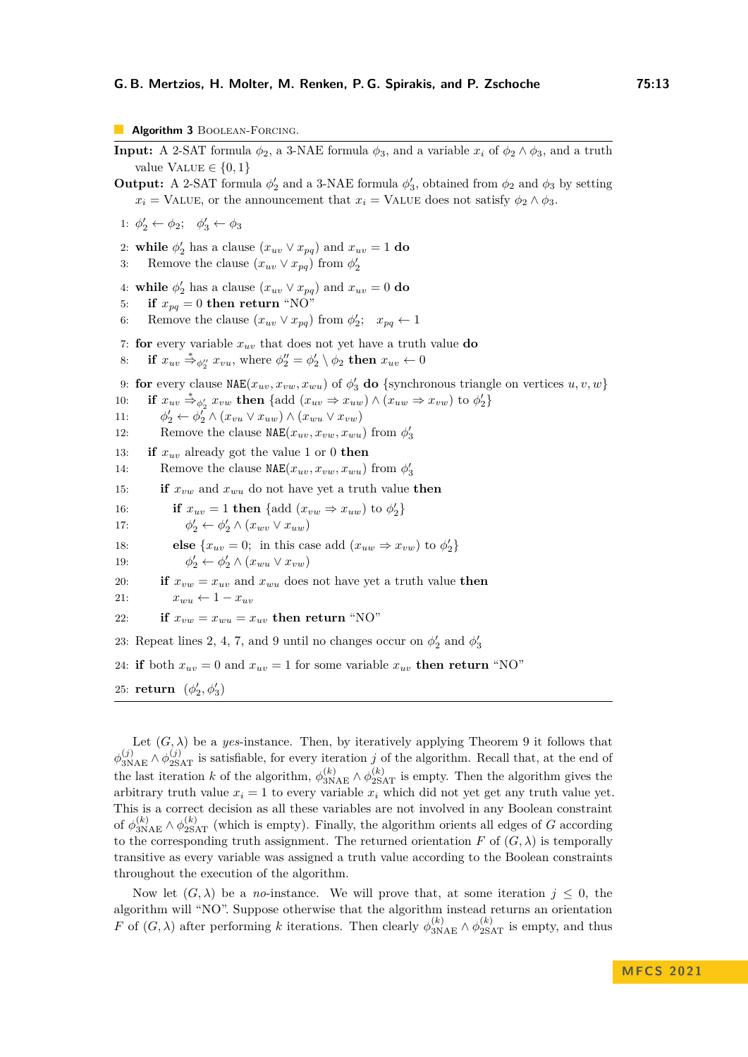<span id="page-12-0"></span>**Algorithm 3** BOOLEAN-FORCING.

**Input:** A 2-SAT formula  $\phi_2$ , a 3-NAE formula  $\phi_3$ , and a variable  $x_i$  of  $\phi_2 \wedge \phi_3$ , and a truth value  $\text{VALUE} \in \{0, 1\}$ **Output:** A 2-SAT formula  $\phi'_2$  and a 3-NAE formula  $\phi'_3$ , obtained from  $\phi_2$  and  $\phi_3$  by setting  $x_i$  = VALUE, or the announcement that  $x_i$  = VALUE does not satisfy  $\phi_2 \wedge \phi_3$ .

1:  $\phi'_2 \leftarrow \phi_2$ ;  $\phi'_3 \leftarrow \phi_3$ 

<span id="page-12-1"></span>2: **while**  $\phi'_2$  has a clause  $(x_{uv} \vee x_{pq})$  and  $x_{uv} = 1$  do

3: Remove the clause  $(x_{uv} \vee x_{pq})$  from  $\phi'_2$ 

<span id="page-12-2"></span>4: **while**  $\phi'_2$  has a clause  $(x_{uv} \vee x_{pq})$  and  $x_{uv} = 0$  do

5: **if**  $x_{pq} = 0$  then return "NO"

6: Remove the clause  $(x_{uv} \vee x_{pq})$  from  $\phi'_2$ ;  $x_{pq} \leftarrow 1$ 

<span id="page-12-3"></span>7: **for** every variable  $x_{uv}$  that does not yet have a truth value **do** 

8: **if**  $x_{uv} \stackrel{*}{\Rightarrow}_{\phi''_2} x_{vu}$ , where  $\phi''_2 = \phi'_2 \setminus \phi_2$  then  $x_{uv} \leftarrow 0$ 

<span id="page-12-4"></span>9: **for** every clause  $\text{NAE}(x_{uv}, x_{vw}, x_{wu})$  of  $\phi'_{3}$  **do** {synchronous triangle on vertices  $u, v, w$ }

10: **if**  $x_{uv} \stackrel{*}{\Rightarrow}_{\phi'_2} x_{vw}$  then {add  $(x_{uv} \Rightarrow x_{uw}) \land (x_{uw} \Rightarrow x_{vw})$  to  $\phi'_2$ }

- 11: *ϕ*  $\mathbf{y}'_2 \leftarrow \phi_2^T \wedge (x_{vu} \vee x_{uw}) \wedge (x_{wu} \vee x_{vw})$
- 12: Remove the clause  $NAE(x_{uv}, x_{vw}, x_{wu})$  from  $\phi'_3$
- 13: **if**  $x_{uv}$  already got the value 1 or 0 **then**
- 14: Remove the clause  $NAE(x_{uv}, x_{vw}, x_{wu})$  from  $\phi'_3$

15: **if**  $x_{vw}$  and  $x_{wu}$  do not have yet a truth value **then** 

16: **if**  $x_{uv} = 1$  **then** {add  $(x_{vw} \Rightarrow x_{uw})$  to  $\phi'_2$ }

17: *ϕ*  $y'_2 \leftarrow \phi'_2 \wedge (x_{wv} \vee x_{uw})$ 

18: **else** { $x_{uv} = 0$ ; in this case add ( $x_{uw} \Rightarrow x_{vw}$ ) to  $\phi'_2$ }

19: 
$$
\phi_2' \leftarrow \phi_2' \land (x_{wu} \lor x_{vw})
$$

20: **if**  $x_{vw} = x_{uv}$  and  $x_{wu}$  does not have yet a truth value **then** 

$$
21: \qquad \qquad x_{wu} \leftarrow 1 - x_{uv}
$$

22: if 
$$
x_{vw} = x_{wu} = x_{uv}
$$
 then return "NO"

23: Repeat lines [2,](#page-12-1) [4,](#page-12-2) [7,](#page-12-3) and [9](#page-12-4) until no changes occur on  $\phi'_2$  and  $\phi'_3$ 

```
24: if both x_{uv} = 0 and x_{uv} = 1 for some variable x_{uv} then return "NO"
```
25: **return**  $(\phi'_2, \phi'_3)$ 

Let  $(G, \lambda)$  be a *yes*-instance. Then, by iteratively applying Theorem [9](#page-11-0) it follows that  $\phi_{3NAE}^{(j)} \wedge \phi_{2SAT}^{(j)}$  is satisfiable, for every iteration *j* of the algorithm. Recall that, at the end of the last iteration *k* of the algorithm,  $\phi_{3NAE}^{(k)} \wedge \phi_{2SAT}^{(k)}$  is empty. Then the algorithm gives the arbitrary truth value  $x_i = 1$  to every variable  $x_i$  which did not yet get any truth value yet. This is a correct decision as all these variables are not involved in any Boolean constraint of  $\phi_{3NAE}^{(k)} \wedge \phi_{2SAT}^{(k)}$  (which is empty). Finally, the algorithm orients all edges of *G* according to the corresponding truth assignment. The returned orientation *F* of  $(G, \lambda)$  is temporally transitive as every variable was assigned a truth value according to the Boolean constraints throughout the execution of the algorithm.

Now let  $(G, \lambda)$  be a *no*-instance. We will prove that, at some iteration  $j \leq 0$ , the algorithm will "NO". Suppose otherwise that the algorithm instead returns an orientation *F* of  $(G, \lambda)$  after performing *k* iterations. Then clearly  $\phi_{3NAE}^{(k)} \wedge \phi_{2SAT}^{(k)}$  is empty, and thus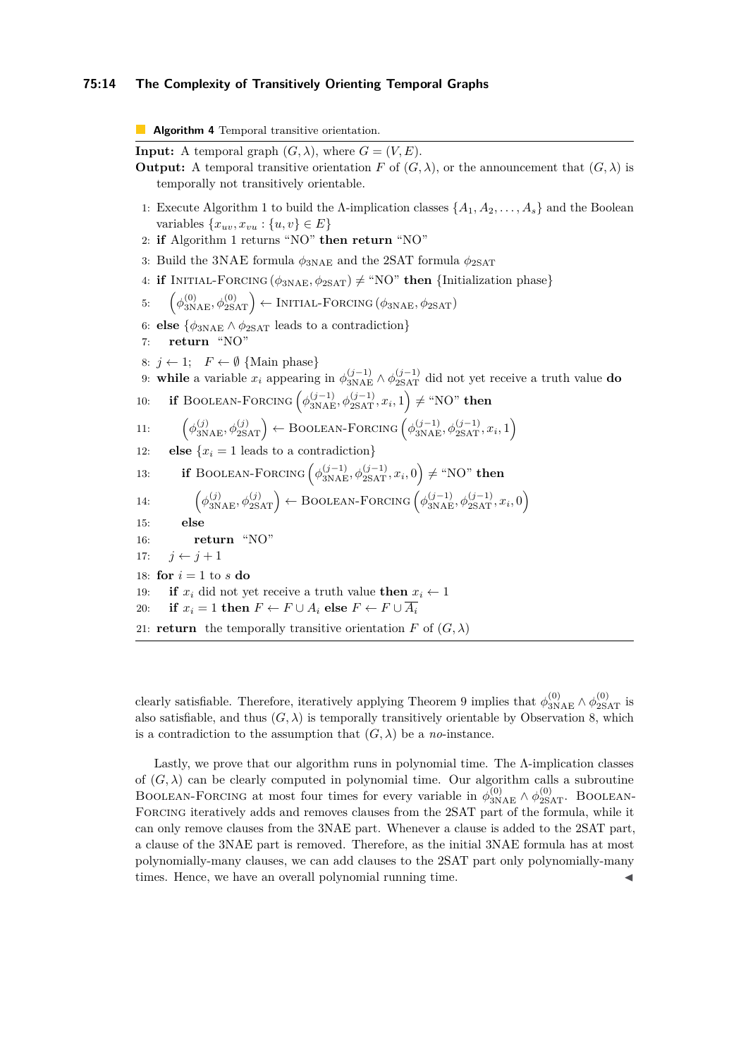#### **75:14 The Complexity of Transitively Orienting Temporal Graphs**

**Algorithm 4** Temporal transitive orientation. **Input:** A temporal graph  $(G, \lambda)$ , where  $G = (V, E)$ . **Output:** A temporal transitive orientation *F* of  $(G, \lambda)$ , or the announcement that  $(G, \lambda)$  is temporally not transitively orientable. 1: Execute Algorithm [1](#page-10-0) to build the  $\Lambda$ -implication classes  $\{A_1, A_2, \ldots, A_s\}$  and the Boolean variables  $\{x_{uv}, x_{vu} : \{u, v\} \in E\}$ 2: **if** Algorithm [1](#page-10-0) returns "NO" **then return** "NO" 3: Build the 3NAE formula  $\phi_{3NAE}$  and the 2SAT formula  $\phi_{2SAT}$ 4: **if** INITIAL-FORCING  $(\phi_{3NAE}, \phi_{2SAT}) \neq$  "NO" **then** {Initialization phase} 5:  $\left(\phi_{\text{3NAE}}^{(0)}, \phi_{\text{2SAT}}^{(0)}\right) \leftarrow \text{INITIAL-FORCING}\left(\phi_{\text{3NAE}}, \phi_{\text{2SAT}}\right)$ 6: **else**  $\{\phi_{3NAE} \wedge \phi_{2SAT} \}$  leads to a contradiction 7: **return** "NO" 8:  $j \leftarrow 1$ ;  $F \leftarrow \emptyset$  {Main phase} 9: **while** a variable  $x_i$  appearing in  $\phi_{\text{3NAE}}^{(j-1)} \wedge \phi_{\text{2SAT}}^{(j-1)}$  did not yet receive a truth value **do** 10: **if** BOOLEAN-FORCING  $(\phi_{\text{3NAE}}^{(j-1)}, \phi_{\text{2SAT}}^{(j-1)}, x_i, 1) \neq \text{``NO''}$  then 11:  $\left(\phi_{3\text{NAE}}^{(j)}, \phi_{2\text{SAT}}^{(j)}\right) \leftarrow \text{Boolean-FORCING}\left(\phi_{3\text{NAE}}^{(j-1)}, \phi_{2\text{SAT}}^{(j-1)}, x_i, 1\right)$ 12: **else**  $\{x_i = 1 \text{ leads to a contradiction}\}\$ 13: **if** BOOLEAN-FORCING  $(\phi_{\text{3NAE}}^{(j-1)}, \phi_{\text{2SAT}}^{(j-1)}, x_i, 0) \neq \text{``NO''}$  then 14:  $\left(\phi_{3NAE}^{(j)}, \phi_{2SAT}^{(j)}\right) \leftarrow \text{Boolean-FORCING}\left(\phi_{3NAE}^{(j-1)}, \phi_{2SAT}^{(j-1)}, x_i, 0\right)$ 15: **else** 16: **return** "NO" 17:  $j \leftarrow j + 1$ 18: **for**  $i = 1$  to  $s$  **do** 19: **if**  $x_i$  did not yet receive a truth value **then**  $x_i \leftarrow 1$ 20: **if**  $x_i = 1$  then  $F \leftarrow F \cup A_i$  else  $F \leftarrow F \cup \overline{A_i}$ 21: **return** the temporally transitive orientation *F* of  $(G, \lambda)$ 

clearly satisfiable. Therefore, iteratively applying Theorem [9](#page-11-0) implies that  $\phi_{3NAE}^{(0)} \wedge \phi_{2SAT}^{(0)}$  is also satisfiable, and thus  $(G, \lambda)$  is temporally transitively orientable by Observation [8,](#page-10-1) which is a contradiction to the assumption that  $(G, \lambda)$  be a *no*-instance.

Lastly, we prove that our algorithm runs in polynomial time. The Λ-implication classes of  $(G, \lambda)$  can be clearly computed in polynomial time. Our algorithm calls a subroutine BOOLEAN-FORCING at most four times for every variable in  $\phi_{3NAE}^{(0)} \wedge \phi_{2SAT}^{(0)}$ . BOOLEAN-FORCING iteratively adds and removes clauses from the 2SAT part of the formula, while it can only remove clauses from the 3NAE part. Whenever a clause is added to the 2SAT part, a clause of the 3NAE part is removed. Therefore, as the initial 3NAE formula has at most polynomially-many clauses, we can add clauses to the 2SAT part only polynomially-many times. Hence, we have an overall polynomial running time.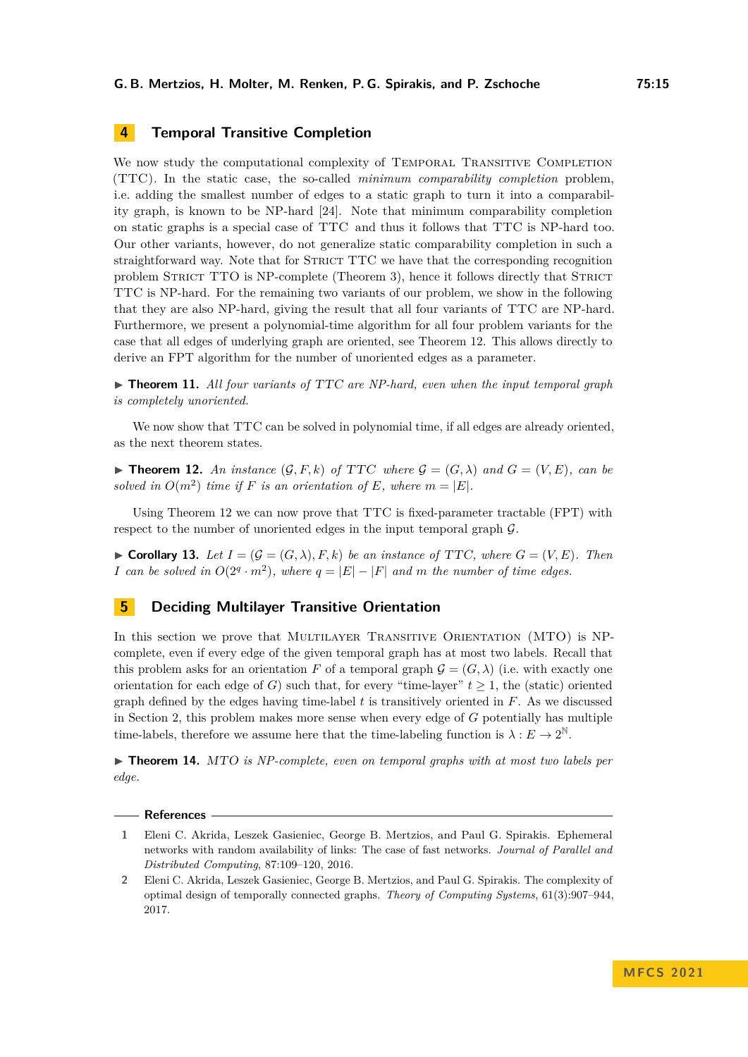# <span id="page-14-2"></span>**4 Temporal Transitive Completion**

We now study the computational complexity of TEMPORAL TRANSITIVE COMPLETION (TTC). In the static case, the so-called *minimum comparability completion* problem, i.e. adding the smallest number of edges to a static graph to turn it into a comparability graph, is known to be NP-hard [\[24\]](#page-16-20). Note that minimum comparability completion on static graphs is a special case of TTC and thus it follows that TTC is NP-hard too. Our other variants, however, do not generalize static comparability completion in such a straightforward way. Note that for STRICT TTC we have that the corresponding recognition problem STRICT TTO is NP-complete (Theorem [3\)](#page-7-3), hence it follows directly that STRICT TTC is NP-hard. For the remaining two variants of our problem, we show in the following that they are also NP-hard, giving the result that all four variants of TTC are NP-hard. Furthermore, we present a polynomial-time algorithm for all four problem variants for the case that all edges of underlying graph are oriented, see Theorem [12.](#page-14-4) This allows directly to derive an FPT algorithm for the number of unoriented edges as a parameter.

▶ **Theorem 11.** *All four variants of* TTC *are NP-hard, even when the input temporal graph is completely unoriented.*

We now show that TTC can be solved in polynomial time, if all edges are already oriented, as the next theorem states.

<span id="page-14-4"></span> $\blacktriangleright$  **Theorem 12.** An instance  $(G, F, k)$  of TTC where  $G = (G, \lambda)$  and  $G = (V, E)$ , can be *solved in*  $O(m^2)$  *time if F is an orientation of E, where*  $m = |E|$ *.* 

Using Theorem [12](#page-14-4) we can now prove that TTC is fixed-parameter tractable (FPT) with respect to the number of unoriented edges in the input temporal graph G.

▶ **Corollary 13.** *Let*  $I = (G = (G, \lambda), F, k)$  *be an instance of TTC, where*  $G = (V, E)$ *. Then I* can be solved in  $O(2^q \cdot m^2)$ , where  $q = |E| - |F|$  and m the number of time edges.

# <span id="page-14-3"></span>**5 Deciding Multilayer Transitive Orientation**

In this section we prove that MULTILAYER TRANSITIVE ORIENTATION (MTO) is NPcomplete, even if every edge of the given temporal graph has at most two labels. Recall that this problem asks for an orientation *F* of a temporal graph  $\mathcal{G} = (G, \lambda)$  (i.e. with exactly one orientation for each edge of *G*) such that, for every "time-layer"  $t \geq 1$ , the (static) oriented graph defined by the edges having time-label *t* is transitively oriented in *F*. As we discussed in Section [2,](#page-4-0) this problem makes more sense when every edge of *G* potentially has multiple time-labels, therefore we assume here that the time-labeling function is  $\lambda : E \to 2^{\mathbb{N}}$ .

▶ **Theorem 14.** MTO *is NP-complete, even on temporal graphs with at most two labels per edge.*

#### **References**

- <span id="page-14-0"></span>**1** Eleni C. Akrida, Leszek Gasieniec, George B. Mertzios, and Paul G. Spirakis. Ephemeral networks with random availability of links: The case of fast networks. *Journal of Parallel and Distributed Computing*, 87:109–120, 2016.
- <span id="page-14-1"></span>**2** Eleni C. Akrida, Leszek Gasieniec, George B. Mertzios, and Paul G. Spirakis. The complexity of optimal design of temporally connected graphs. *Theory of Computing Systems*, 61(3):907–944, 2017.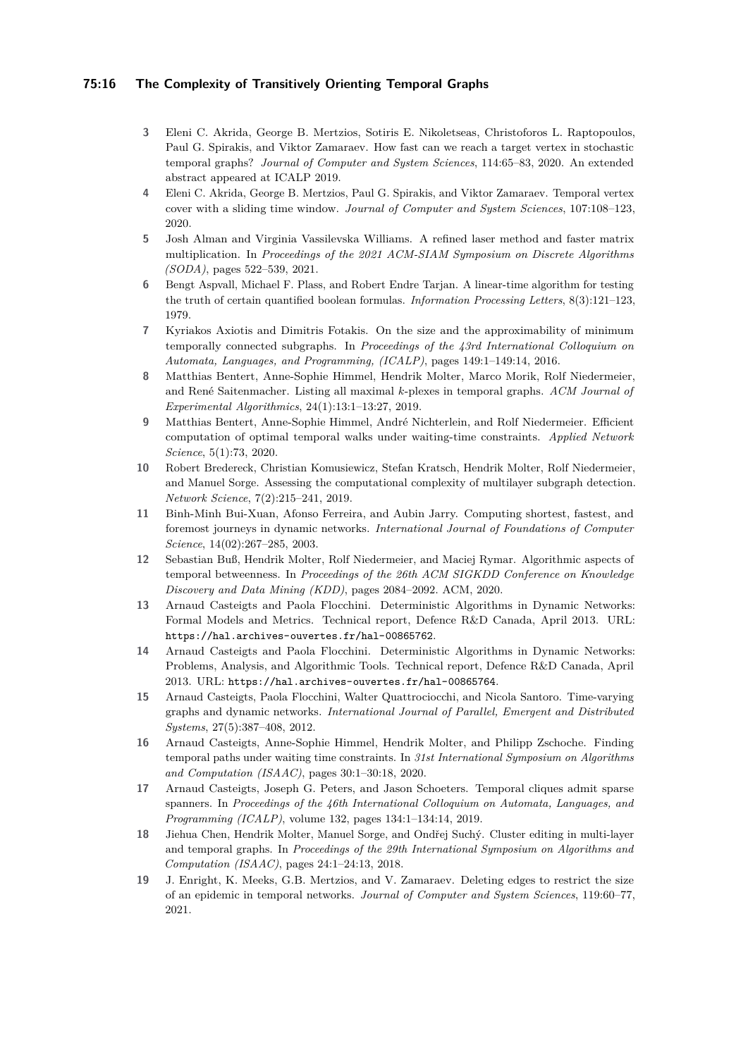#### **75:16 The Complexity of Transitively Orienting Temporal Graphs**

- <span id="page-15-2"></span>**3** Eleni C. Akrida, George B. Mertzios, Sotiris E. Nikoletseas, Christoforos L. Raptopoulos, Paul G. Spirakis, and Viktor Zamaraev. How fast can we reach a target vertex in stochastic temporal graphs? *Journal of Computer and System Sciences*, 114:65–83, 2020. An extended abstract appeared at ICALP 2019.
- <span id="page-15-7"></span>**4** Eleni C. Akrida, George B. Mertzios, Paul G. Spirakis, and Viktor Zamaraev. Temporal vertex cover with a sliding time window. *Journal of Computer and System Sciences*, 107:108–123, 2020.
- <span id="page-15-13"></span>**5** Josh Alman and Virginia Vassilevska Williams. A refined laser method and faster matrix multiplication. In *Proceedings of the 2021 ACM-SIAM Symposium on Discrete Algorithms (SODA)*, pages 522–539, 2021.
- <span id="page-15-14"></span>**6** Bengt Aspvall, Michael F. Plass, and Robert Endre Tarjan. A linear-time algorithm for testing the truth of certain quantified boolean formulas. *Information Processing Letters*, 8(3):121–123, 1979.
- <span id="page-15-10"></span>**7** Kyriakos Axiotis and Dimitris Fotakis. On the size and the approximability of minimum temporally connected subgraphs. In *Proceedings of the 43rd International Colloquium on Automata, Languages, and Programming, (ICALP)*, pages 149:1–149:14, 2016.
- <span id="page-15-9"></span>**8** Matthias Bentert, Anne-Sophie Himmel, Hendrik Molter, Marco Morik, Rolf Niedermeier, and René Saitenmacher. Listing all maximal *k*-plexes in temporal graphs. *ACM Journal of Experimental Algorithmics*, 24(1):13:1–13:27, 2019.
- <span id="page-15-3"></span>**9** Matthias Bentert, Anne-Sophie Himmel, André Nichterlein, and Rolf Niedermeier. Efficient computation of optimal temporal walks under waiting-time constraints. *Applied Network Science*, 5(1):73, 2020.
- <span id="page-15-15"></span>**10** Robert Bredereck, Christian Komusiewicz, Stefan Kratsch, Hendrik Molter, Rolf Niedermeier, and Manuel Sorge. Assessing the computational complexity of multilayer subgraph detection. *Network Science*, 7(2):215–241, 2019.
- <span id="page-15-4"></span>**11** Binh-Minh Bui-Xuan, Afonso Ferreira, and Aubin Jarry. Computing shortest, fastest, and foremost journeys in dynamic networks. *International Journal of Foundations of Computer Science*, 14(02):267–285, 2003.
- <span id="page-15-6"></span>**12** Sebastian Buß, Hendrik Molter, Rolf Niedermeier, and Maciej Rymar. Algorithmic aspects of temporal betweenness. In *Proceedings of the 26th ACM SIGKDD Conference on Knowledge Discovery and Data Mining (KDD)*, pages 2084–2092. ACM, 2020.
- <span id="page-15-0"></span>**13** Arnaud Casteigts and Paola Flocchini. Deterministic Algorithms in Dynamic Networks: Formal Models and Metrics. Technical report, Defence R&D Canada, April 2013. URL: <https://hal.archives-ouvertes.fr/hal-00865762>.
- **14** Arnaud Casteigts and Paola Flocchini. Deterministic Algorithms in Dynamic Networks: Problems, Analysis, and Algorithmic Tools. Technical report, Defence R&D Canada, April 2013. URL: <https://hal.archives-ouvertes.fr/hal-00865764>.
- <span id="page-15-1"></span>**15** Arnaud Casteigts, Paola Flocchini, Walter Quattrociocchi, and Nicola Santoro. Time-varying graphs and dynamic networks. *International Journal of Parallel, Emergent and Distributed Systems*, 27(5):387–408, 2012.
- <span id="page-15-5"></span>**16** Arnaud Casteigts, Anne-Sophie Himmel, Hendrik Molter, and Philipp Zschoche. Finding temporal paths under waiting time constraints. In *31st International Symposium on Algorithms and Computation (ISAAC)*, pages 30:1–30:18, 2020.
- <span id="page-15-11"></span>**17** Arnaud Casteigts, Joseph G. Peters, and Jason Schoeters. Temporal cliques admit sparse spanners. In *Proceedings of the 46th International Colloquium on Automata, Languages, and Programming (ICALP)*, volume 132, pages 134:1–134:14, 2019.
- <span id="page-15-8"></span>**18** Jiehua Chen, Hendrik Molter, Manuel Sorge, and Ondřej Suchý. Cluster editing in multi-layer and temporal graphs. In *Proceedings of the 29th International Symposium on Algorithms and Computation (ISAAC)*, pages 24:1–24:13, 2018.
- <span id="page-15-12"></span>**19** J. Enright, K. Meeks, G.B. Mertzios, and V. Zamaraev. Deleting edges to restrict the size of an epidemic in temporal networks. *Journal of Computer and System Sciences*, 119:60–77, 2021.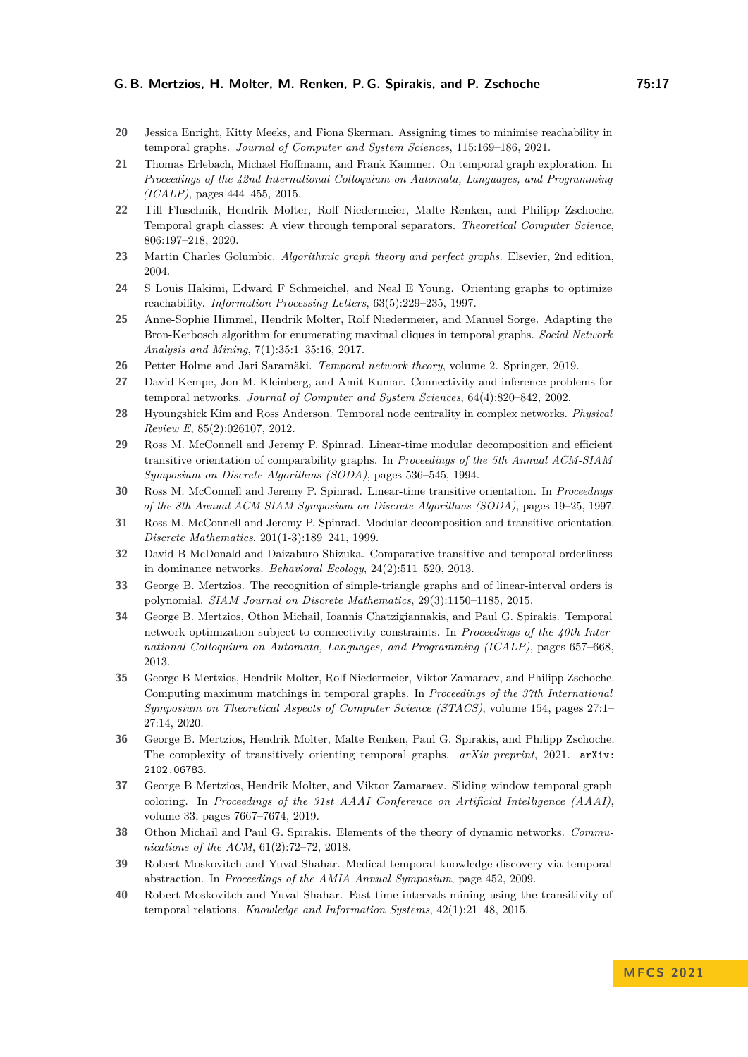- <span id="page-16-9"></span>**20** Jessica Enright, Kitty Meeks, and Fiona Skerman. Assigning times to minimise reachability in temporal graphs. *Journal of Computer and System Sciences*, 115:169–186, 2021.
- <span id="page-16-10"></span>**21** Thomas Erlebach, Michael Hoffmann, and Frank Kammer. On temporal graph exploration. In *Proceedings of the 42nd International Colloquium on Automata, Languages, and Programming (ICALP)*, pages 444–455, 2015.
- <span id="page-16-11"></span>**22** Till Fluschnik, Hendrik Molter, Rolf Niedermeier, Malte Renken, and Philipp Zschoche. Temporal graph classes: A view through temporal separators. *Theoretical Computer Science*, 806:197–218, 2020.
- <span id="page-16-4"></span>**23** Martin Charles Golumbic. *Algorithmic graph theory and perfect graphs*. Elsevier, 2nd edition, 2004.
- <span id="page-16-20"></span>**24** S Louis Hakimi, Edward F Schmeichel, and Neal E Young. Orienting graphs to optimize reachability. *Information Processing Letters*, 63(5):229–235, 1997.
- <span id="page-16-15"></span>**25** Anne-Sophie Himmel, Hendrik Molter, Rolf Niedermeier, and Manuel Sorge. Adapting the Bron-Kerbosch algorithm for enumerating maximal cliques in temporal graphs. *Social Network Analysis and Mining*, 7(1):35:1–35:16, 2017.
- <span id="page-16-1"></span>**26** Petter Holme and Jari Saramäki. *Temporal network theory*, volume 2. Springer, 2019.
- <span id="page-16-3"></span>**27** David Kempe, Jon M. Kleinberg, and Amit Kumar. Connectivity and inference problems for temporal networks. *Journal of Computer and System Sciences*, 64(4):820–842, 2002.
- <span id="page-16-12"></span>**28** Hyoungshick Kim and Ross Anderson. Temporal node centrality in complex networks. *Physical Review E*, 85(2):026107, 2012.
- <span id="page-16-16"></span>**29** Ross M. McConnell and Jeremy P. Spinrad. Linear-time modular decomposition and efficient transitive orientation of comparability graphs. In *Proceedings of the 5th Annual ACM-SIAM Symposium on Discrete Algorithms (SODA)*, pages 536–545, 1994.
- <span id="page-16-17"></span>**30** Ross M. McConnell and Jeremy P. Spinrad. Linear-time transitive orientation. In *Proceedings of the 8th Annual ACM-SIAM Symposium on Discrete Algorithms (SODA)*, pages 19–25, 1997.
- <span id="page-16-18"></span>**31** Ross M. McConnell and Jeremy P. Spinrad. Modular decomposition and transitive orientation. *Discrete Mathematics*, 201(1-3):189–241, 1999.
- <span id="page-16-7"></span>**32** David B McDonald and Daizaburo Shizuka. Comparative transitive and temporal orderliness in dominance networks. *Behavioral Ecology*, 24(2):511–520, 2013.
- <span id="page-16-19"></span>**33** George B. Mertzios. The recognition of simple-triangle graphs and of linear-interval orders is polynomial. *SIAM Journal on Discrete Mathematics*, 29(3):1150–1185, 2015.
- <span id="page-16-8"></span>**34** George B. Mertzios, Othon Michail, Ioannis Chatzigiannakis, and Paul G. Spirakis. Temporal network optimization subject to connectivity constraints. In *Proceedings of the 40th International Colloquium on Automata, Languages, and Programming (ICALP)*, pages 657–668, 2013.
- <span id="page-16-14"></span>**35** George B Mertzios, Hendrik Molter, Rolf Niedermeier, Viktor Zamaraev, and Philipp Zschoche. Computing maximum matchings in temporal graphs. In *Proceedings of the 37th International Symposium on Theoretical Aspects of Computer Science (STACS)*, volume 154, pages 27:1– 27:14, 2020.
- <span id="page-16-0"></span>**36** George B. Mertzios, Hendrik Molter, Malte Renken, Paul G. Spirakis, and Philipp Zschoche. The complexity of transitively orienting temporal graphs. *arXiv preprint*, 2021. [arXiv:](http://arxiv.org/abs/2102.06783) [2102.06783](http://arxiv.org/abs/2102.06783).
- <span id="page-16-13"></span>**37** George B Mertzios, Hendrik Molter, and Viktor Zamaraev. Sliding window temporal graph coloring. In *Proceedings of the 31st AAAI Conference on Artificial Intelligence (AAAI)*, volume 33, pages 7667–7674, 2019.
- <span id="page-16-2"></span>**38** Othon Michail and Paul G. Spirakis. Elements of the theory of dynamic networks. *Communications of the ACM*, 61(2):72–72, 2018.
- <span id="page-16-6"></span>**39** Robert Moskovitch and Yuval Shahar. Medical temporal-knowledge discovery via temporal abstraction. In *Proceedings of the AMIA Annual Symposium*, page 452, 2009.
- <span id="page-16-5"></span>**40** Robert Moskovitch and Yuval Shahar. Fast time intervals mining using the transitivity of temporal relations. *Knowledge and Information Systems*, 42(1):21–48, 2015.